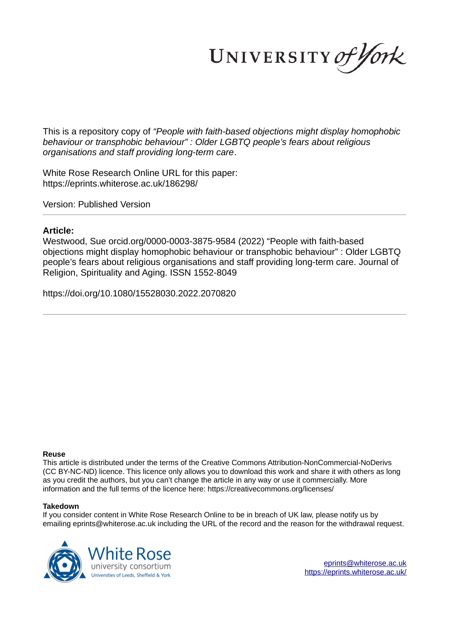UNIVERSITY of York

This is a repository copy of *"People with faith-based objections might display homophobic behaviour or transphobic behaviour" : Older LGBTQ people's fears about religious organisations and staff providing long-term care*.

White Rose Research Online URL for this paper: https://eprints.whiterose.ac.uk/186298/

Version: Published Version

# **Article:**

Westwood, Sue orcid.org/0000-0003-3875-9584 (2022) "People with faith-based objections might display homophobic behaviour or transphobic behaviour" : Older LGBTQ people's fears about religious organisations and staff providing long-term care. Journal of Religion, Spirituality and Aging. ISSN 1552-8049

https://doi.org/10.1080/15528030.2022.2070820

#### **Reuse**

This article is distributed under the terms of the Creative Commons Attribution-NonCommercial-NoDerivs (CC BY-NC-ND) licence. This licence only allows you to download this work and share it with others as long as you credit the authors, but you can't change the article in any way or use it commercially. More information and the full terms of the licence here: https://creativecommons.org/licenses/

#### **Takedown**

If you consider content in White Rose Research Online to be in breach of UK law, please notify us by emailing eprints@whiterose.ac.uk including the URL of the record and the reason for the withdrawal request.

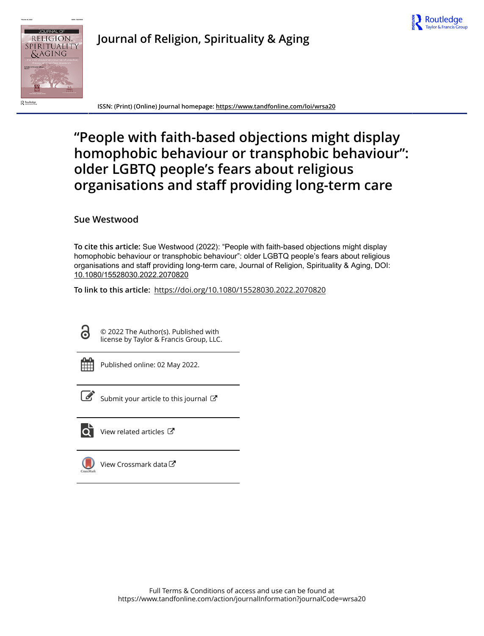



**Journal of Religion, Spirituality & Aging**

**ISSN: (Print) (Online) Journal homepage: https://www.tandfonline.com/loi/wrsa20**

# **"People with faith-based objections might display homophobic behaviour or transphobic behaviour": older LGBTQ people's fears about religious organisations and staff providing long-term care**

# **Sue Westwood**

**To cite this article:** Sue Westwood (2022): "People with faith-based objections might display homophobic behaviour or transphobic behaviour": older LGBTQ people's fears about religious organisations and staff providing long-term care, Journal of Religion, Spirituality & Aging, DOI: 10.1080/15528030.2022.2070820

**To link to this article:** https://doi.org/10.1080/15528030.2022.2070820

© 2022 The Author(s). Published with license by Taylor & Francis Group, LLC.

| ۰<br>_ |  |
|--------|--|
|        |  |
|        |  |
|        |  |

Published online: 02 May 2022.

Submit your article to this journal  $\mathbb{Z}$ 



 $\overrightarrow{Q}$  View related articles  $\overrightarrow{C}$ 



View Crossmark data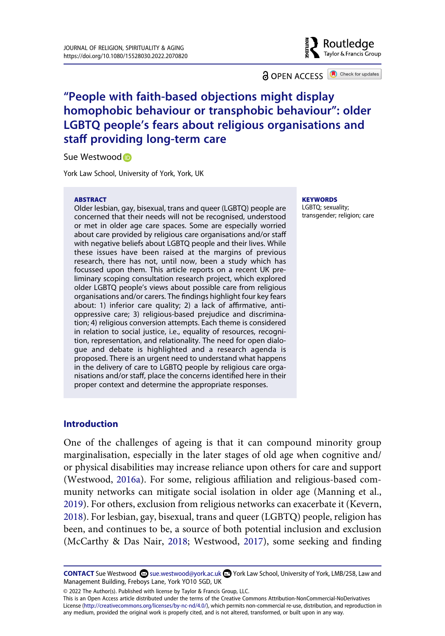Routledge Taylor & Francis Group

**a** OPEN ACCESS **a** Check for updates

# **"People with faith-based objections might display homophobic behaviour or transphobic behaviour": older LGBTQ people's fears about religious organisations and staff providing long-term care**

Sue Westwoo[d](http://orcid.org/0000-0003-3875-9584) iD

York Law School, University of York, York, UK

#### **ABSTRACT**

Older lesbian, gay, bisexual, trans and queer (LGBTQ) people are concerned that their needs will not be recognised, understood or met in older age care spaces. Some are especially worried about care provided by religious care organisations and/or staff with negative beliefs about LGBTQ people and their lives. While these issues have been raised at the margins of previous research, there has not, until now, been a study which has focussed upon them. This article reports on a recent UK preliminary scoping consultation research project, which explored older LGBTQ people's views about possible care from religious organisations and/or carers. The findings highlight four key fears about: 1) inferior care quality; 2) a lack of affirmative, antioppressive care; 3) religious-based prejudice and discrimination; 4) religious conversion attempts. Each theme is considered in relation to social justice, i.e., equality of resources, recognition, representation, and relationality. The need for open dialogue and debate is highlighted and a research agenda is proposed. There is an urgent need to understand what happens in the delivery of care to LGBTQ people by religious care organisations and/or staff, place the concerns identified here in their proper context and determine the appropriate responses.

#### **KEYWORDS**

LGBTQ; sexuality; transgender; religion; care

#### **Introduction**

<span id="page-2-3"></span><span id="page-2-1"></span><span id="page-2-0"></span>One of the challenges of ageing is that it can compound minority group marginalisation, especially in the later stages of old age when cognitive and/ or physical disabilities may increase reliance upon others for care and support (Westwood, [2016a](#page-26-0)). For some, religious affiliation and religious-based community networks can mitigate social isolation in older age (Manning et al., [2019](#page-24-0)). For others, exclusion from religious networks can exacerbate it (Kevern, [2018](#page-24-1)). For lesbian, gay, bisexual, trans and queer (LGBTQ) people, religion has been, and continues to be, a source of both potential inclusion and exclusion (McCarthy & Das Nair, [2018](#page-24-2); Westwood, [2017](#page-26-1)), some seeking and finding

<span id="page-2-2"></span>CONTACT Sue Westwood Sue.westwood@york.ac.uk <sup>■</sup> York Law School, University of York, LMB/258, Law and Management Building, Freboys Lane, York YO10 5GD, UK

<sup>© 2022</sup> The Author(s). Published with license by Taylor & Francis Group, LLC.

This is an Open Access article distributed under the terms of the Creative Commons Attribution-NonCommercial-NoDerivatives License (http://creativecommons.org/licenses/by-nc-nd/4.0/), which permits non-commercial re-use, distribution, and reproduction in any medium, provided the original work is properly cited, and is not altered, transformed, or built upon in any way.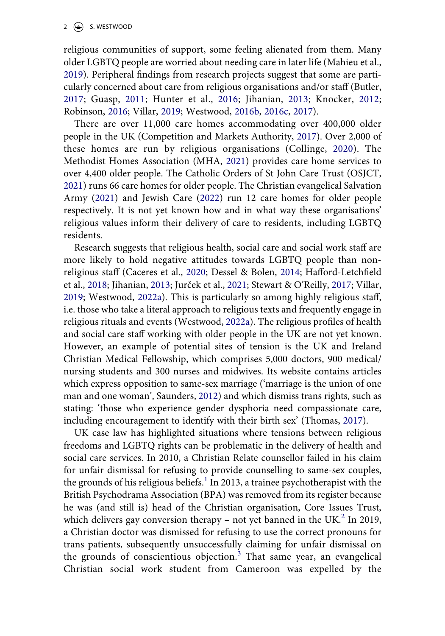<span id="page-3-7"></span><span id="page-3-0"></span>religious communities of support, some feeling alienated from them. Many older LGBTQ people are worried about needing care in later life (Mahieu et al., [2019](#page-24-3)). Peripheral findings from research projects suggest that some are particularly concerned about care from religious organisations and/or staff (Butler, [2017;](#page-21-0) Guasp, [2011;](#page-23-0) Hunter et al., [2016;](#page-23-1) Jihanian, [2013](#page-23-2); Knocker, [2012](#page-24-4); Robinson, [2016;](#page-25-0) Villar, [2019;](#page-26-2) Westwood, [2016b,](#page-26-3) [2016c](#page-26-4), [2017](#page-26-1)).

<span id="page-3-10"></span><span id="page-3-9"></span><span id="page-3-8"></span><span id="page-3-4"></span><span id="page-3-3"></span><span id="page-3-2"></span>There are over 11,000 care homes accommodating over 400,000 older people in the UK (Competition and Markets Authority, [2017](#page-22-0)). Over 2,000 of these homes are run by religious organisations (Collinge, [2020\)](#page-22-1). The Methodist Homes Association (MHA, [2021](#page-24-5)) provides care home services to over 4,400 older people. The Catholic Orders of St John Care Trust (OSJCT, [2021](#page-25-1)) runs 66 care homes for older people. The Christian evangelical Salvation Army ([2021\)](#page-25-2) and Jewish Care [\(2022\)](#page-23-3) run 12 care homes for older people respectively. It is not yet known how and in what way these organisations' religious values inform their delivery of care to residents, including LGBTQ residents.

<span id="page-3-13"></span><span id="page-3-6"></span><span id="page-3-5"></span><span id="page-3-1"></span>Research suggests that religious health, social care and social work staff are more likely to hold negative attitudes towards LGBTQ people than nonreligious staff (Caceres et al., [2020;](#page-21-1) Dessel & Bolen, [2014](#page-22-2); Hafford-Letchfield et al., [2018](#page-23-4); Jihanian, [2013;](#page-23-2) Jurček et al., [2021](#page-23-5); Stewart & O'Reilly, [2017;](#page-25-3) Villar, [2019](#page-26-2); Westwood, [2022a](#page-26-5)). This is particularly so among highly religious staff, i.e. those who take a literal approach to religious texts and frequently engage in religious rituals and events (Westwood, [2022a\)](#page-26-5). The religious profiles of health and social care staff working with older people in the UK are not yet known. However, an example of potential sites of tension is the UK and Ireland Christian Medical Fellowship, which comprises 5,000 doctors, 900 medical/ nursing students and 300 nurses and midwives. Its website contains articles which express opposition to same-sex marriage ('marriage is the union of one man and one woman', Saunders, [2012\)](#page-25-4) and which dismiss trans rights, such as stating: 'those who experience gender dysphoria need compassionate care, including encouragement to identify with their birth sex' (Thomas, [2017\)](#page-26-6).

<span id="page-3-12"></span><span id="page-3-11"></span>UK case law has highlighted situations where tensions between religious freedoms and LGBTQ rights can be problematic in the delivery of health and social care services. In 2010, a Christian Relate counsellor failed in his claim for unfair dismissal for refusing to provide counselling to same-sex couples, the grounds of his religious beliefs.<sup>[1](#page-20-0)</sup> In 2013, a trainee psychotherapist with the British Psychodrama Association (BPA) was removed from its register because he was (and still is) head of the Christian organisation, Core Issues Trust, which delivers gay conversion therapy – not yet banned in the UK.<sup>2</sup> In 2019, a Christian doctor was dismissed for refusing to use the correct pronouns for trans patients, subsequently unsuccessfully claiming for unfair dismissal on the grounds of conscientious objection. $3$  That same year, an evangelical Christian social work student from Cameroon was expelled by the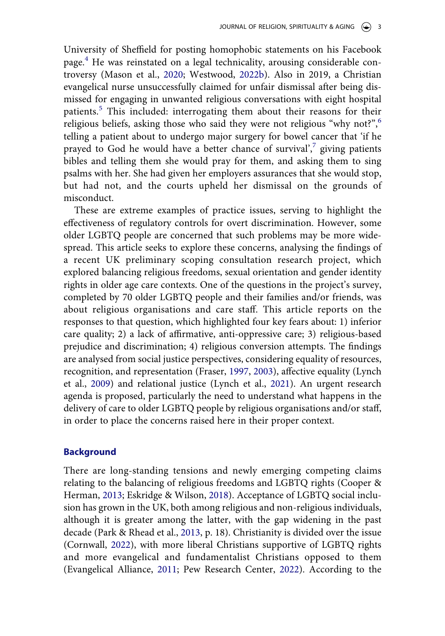<span id="page-4-5"></span>University of Sheffield for posting homophobic statements on his Facebook page.[4](#page-20-3) He was reinstated on a legal technicality, arousing considerable controversy (Mason et al., [2020](#page-24-6); Westwood, [2022b](#page-26-7)). Also in 2019, a Christian evangelical nurse unsuccessfully claimed for unfair dismissal after being dismissed for engaging in unwanted religious conversations with eight hospital patients.<sup>[5](#page-20-4)</sup> This included: interrogating them about their reasons for their religious beliefs, asking those who said they were not religious "why not?",  $6^{\circ}$  $6^{\circ}$ telling a patient about to undergo major surgery for bowel cancer that 'if he prayed to God he would have a better chance of survival', giving patients bibles and telling them she would pray for them, and asking them to sing psalms with her. She had given her employers assurances that she would stop, but had not, and the courts upheld her dismissal on the grounds of misconduct.

These are extreme examples of practice issues, serving to highlight the effectiveness of regulatory controls for overt discrimination. However, some older LGBTQ people are concerned that such problems may be more widespread. This article seeks to explore these concerns, analysing the findings of a recent UK preliminary scoping consultation research project, which explored balancing religious freedoms, sexual orientation and gender identity rights in older age care contexts. One of the questions in the project's survey, completed by 70 older LGBTQ people and their families and/or friends, was about religious organisations and care staff. This article reports on the responses to that question, which highlighted four key fears about: 1) inferior care quality; 2) a lack of affirmative, anti-oppressive care; 3) religious-based prejudice and discrimination; 4) religious conversion attempts. The findings are analysed from social justice perspectives, considering equality of resources, recognition, and representation (Fraser, [1997,](#page-22-3) [2003](#page-23-6)), affective equality (Lynch et al., [2009\)](#page-24-7) and relational justice (Lynch et al., [2021](#page-24-8)). An urgent research agenda is proposed, particularly the need to understand what happens in the delivery of care to older LGBTQ people by religious organisations and/or staff, in order to place the concerns raised here in their proper context.

#### <span id="page-4-4"></span><span id="page-4-3"></span>**Background**

<span id="page-4-6"></span><span id="page-4-2"></span><span id="page-4-1"></span><span id="page-4-0"></span>There are long-standing tensions and newly emerging competing claims relating to the balancing of religious freedoms and LGBTQ rights (Cooper & Herman, [2013](#page-22-4); Eskridge & Wilson, [2018\)](#page-22-5). Acceptance of LGBTQ social inclusion has grown in the UK, both among religious and non-religious individuals, although it is greater among the latter, with the gap widening in the past decade (Park & Rhead et al., [2013,](#page-25-5) p. 18). Christianity is divided over the issue (Cornwall, [2022\)](#page-22-6), with more liberal Christians supportive of LGBTQ rights and more evangelical and fundamentalist Christians opposed to them (Evangelical Alliance, [2011](#page-22-7); Pew Research Center, [2022\)](#page-25-6). According to the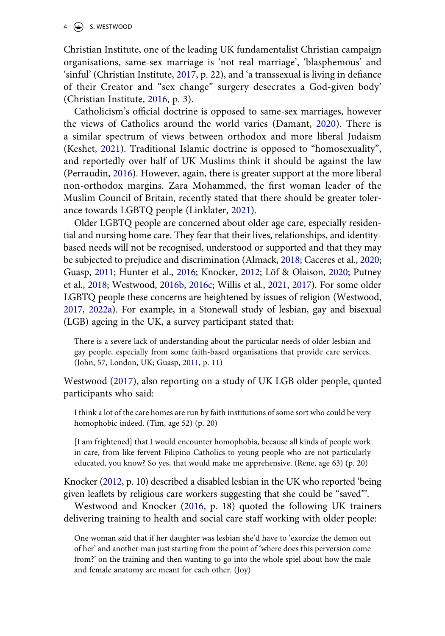$4 \quad \circledast$  S. WESTWOOD

<span id="page-5-2"></span>Christian Institute, one of the leading UK fundamentalist Christian campaign organisations, same-sex marriage is 'not real marriage', 'blasphemous' and 'sinful' (Christian Institute, [2017,](#page-22-8) p. 22), and 'a transsexual is living in defiance of their Creator and "sex change" surgery desecrates a God-given body' (Christian Institute, [2016](#page-22-9), p. 3).

<span id="page-5-4"></span><span id="page-5-3"></span><span id="page-5-1"></span>Catholicism's official doctrine is opposed to same-sex marriages, however the views of Catholics around the world varies (Damant, [2020](#page-22-10)). There is a similar spectrum of views between orthodox and more liberal Judaism (Keshet, [2021](#page-23-7)). Traditional Islamic doctrine is opposed to "homosexuality", and reportedly over half of UK Muslims think it should be against the law (Perraudin, [2016\)](#page-25-7). However, again, there is greater support at the more liberal non-orthodox margins. Zara Mohammed, the first woman leader of the Muslim Council of Britain, recently stated that there should be greater tolerance towards LGBTQ people (Linklater, [2021](#page-24-9)).

<span id="page-5-8"></span><span id="page-5-7"></span><span id="page-5-6"></span><span id="page-5-5"></span><span id="page-5-0"></span>Older LGBTQ people are concerned about older age care, especially residential and nursing home care. They fear that their lives, relationships, and identitybased needs will not be recognised, understood or supported and that they may be subjected to prejudice and discrimination (Almack, [2018;](#page-21-2) Caceres et al., [2020](#page-21-1); Guasp, [2011;](#page-23-0) Hunter et al., [2016;](#page-23-1) Knocker, [2012](#page-24-4); Löf & Olaison, [2020;](#page-24-10) Putney et al., [2018](#page-25-8); Westwood, [2016b](#page-26-3), [2016c](#page-26-4); Willis et al., [2021](#page-27-0), [2017\)](#page-27-1). For some older LGBTQ people these concerns are heightened by issues of religion (Westwood, [2017,](#page-26-1) [2022a\)](#page-26-5). For example, in a Stonewall study of lesbian, gay and bisexual (LGB) ageing in the UK, a survey participant stated that:

There is a severe lack of understanding about the particular needs of older lesbian and gay people, especially from some faith-based organisations that provide care services. (John, 57, London, UK; Guasp, [2011](#page-23-0), p. 11)

Westwood ([2017\)](#page-26-1), also reporting on a study of UK LGB older people, quoted participants who said:

I think a lot of the care homes are run by faith institutions of some sort who could be very homophobic indeed. (Tim, age 52) (p. 20)

[I am frightened] that I would encounter homophobia, because all kinds of people work in care, from like fervent Filipino Catholics to young people who are not particularly educated, you know? So yes, that would make me apprehensive. (Rene, age 63) (p. 20)

Knocker ([2012,](#page-24-4) p. 10) described a disabled lesbian in the UK who reported 'being given leaflets by religious care workers suggesting that she could be "saved"'.

<span id="page-5-9"></span>Westwood and Knocker ([2016,](#page-26-8) p. 18) quoted the following UK trainers delivering training to health and social care staff working with older people:

One woman said that if her daughter was lesbian she'd have to 'exorcize the demon out of her' and another man just starting from the point of 'where does this perversion come from?' on the training and then wanting to go into the whole spiel about how the male and female anatomy are meant for each other. (Joy)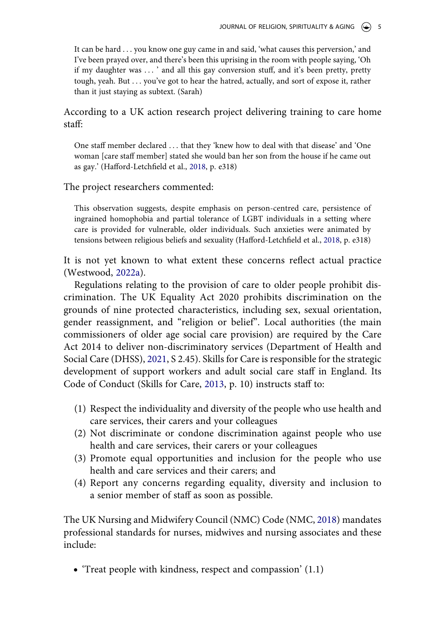It can be hard . . . you know one guy came in and said, 'what causes this perversion,' and I've been prayed over, and there's been this uprising in the room with people saying, 'Oh if my daughter was . . . ' and all this gay conversion stuff, and it's been pretty, pretty tough, yeah. But . . . you've got to hear the hatred, actually, and sort of expose it, rather than it just staying as subtext. (Sarah)

According to a UK action research project delivering training to care home staff:

One staff member declared . . . that they 'knew how to deal with that disease' and 'One woman [care staff member] stated she would ban her son from the house if he came out as gay.' (Hafford-Letchfield et al., [2018,](#page-23-4) p. e318)

The project researchers commented:

This observation suggests, despite emphasis on person-centred care, persistence of ingrained homophobia and partial tolerance of LGBT individuals in a setting where care is provided for vulnerable, older individuals. Such anxieties were animated by tensions between religious beliefs and sexuality (Hafford-Letchfield et al., [2018,](#page-23-4) p. e318)

It is not yet known to what extent these concerns reflect actual practice (Westwood, [2022a](#page-26-5)).

Regulations relating to the provision of care to older people prohibit discrimination. The UK Equality Act 2020 prohibits discrimination on the grounds of nine protected characteristics, including sex, sexual orientation, gender reassignment, and "religion or belief". Local authorities (the main commissioners of older age social care provision) are required by the Care Act 2014 to deliver non-discriminatory services (Department of Health and Social Care (DHSS), [2021,](#page-22-11) S 2.45). Skills for Care is responsible for the strategic development of support workers and adult social care staff in England. Its Code of Conduct (Skills for Care, [2013,](#page-25-9) p. 10) instructs staff to:

- <span id="page-6-2"></span><span id="page-6-0"></span>(1) Respect the individuality and diversity of the people who use health and care services, their carers and your colleagues
- (2) Not discriminate or condone discrimination against people who use health and care services, their carers or your colleagues
- (3) Promote equal opportunities and inclusion for the people who use health and care services and their carers; and
- (4) Report any concerns regarding equality, diversity and inclusion to a senior member of staff as soon as possible.

<span id="page-6-1"></span>The UK Nursing and Midwifery Council (NMC) Code (NMC, [2018](#page-25-10)) mandates professional standards for nurses, midwives and nursing associates and these include:

• 'Treat people with kindness, respect and compassion' (1.1)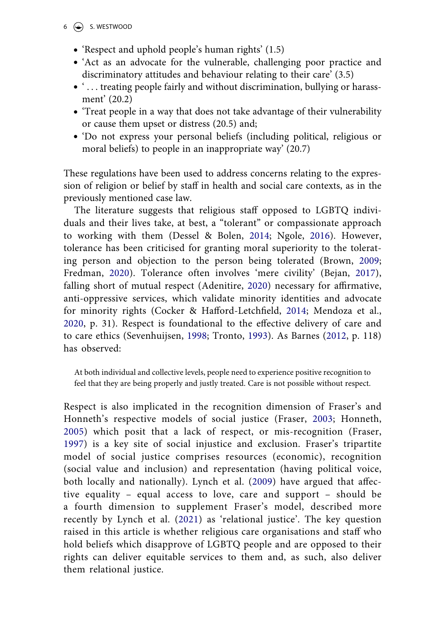#### $6 \quad \circledast$  S. WESTWOOD

- 'Respect and uphold people's human rights' (1.5)
- 'Act as an advocate for the vulnerable, challenging poor practice and discriminatory attitudes and behaviour relating to their care' (3.5)
- '... treating people fairly and without discrimination, bullying or harassment' (20.2)
- 'Treat people in a way that does not take advantage of their vulnerability or cause them upset or distress (20.5) and;
- 'Do not express your personal beliefs (including political, religious or moral beliefs) to people in an inappropriate way' (20.7)

These regulations have been used to address concerns relating to the expression of religion or belief by staff in health and social care contexts, as in the previously mentioned case law.

<span id="page-7-6"></span><span id="page-7-3"></span><span id="page-7-2"></span><span id="page-7-0"></span>The literature suggests that religious staff opposed to LGBTQ individuals and their lives take, at best, a "tolerant" or compassionate approach to working with them (Dessel & Bolen, [2014](#page-22-2); Ngole, [2016\)](#page-25-11). However, tolerance has been criticised for granting moral superiority to the tolerating person and objection to the person being tolerated (Brown, [2009](#page-21-3); Fredman, [2020\)](#page-23-8). Tolerance often involves 'mere civility' (Bejan, [2017](#page-21-4)), falling short of mutual respect (Adenitire, [2020\)](#page-21-5) necessary for affirmative, anti-oppressive services, which validate minority identities and advocate for minority rights (Cocker & Hafford-Letchfield, [2014;](#page-22-12) Mendoza et al., [2020,](#page-24-11) p. 31). Respect is foundational to the effective delivery of care and to care ethics (Sevenhuijsen, [1998](#page-25-12); Tronto, [1993](#page-26-9)). As Barnes ([2012](#page-21-6), p. 118) has observed:

<span id="page-7-4"></span><span id="page-7-1"></span>At both individual and collective levels, people need to experience positive recognition to feel that they are being properly and justly treated. Care is not possible without respect.

<span id="page-7-5"></span>Respect is also implicated in the recognition dimension of Fraser's and Honneth's respective models of social justice (Fraser, [2003;](#page-23-6) Honneth, [2005](#page-23-9)) which posit that a lack of respect, or mis-recognition (Fraser, [1997\)](#page-22-3) is a key site of social injustice and exclusion. Fraser's tripartite model of social justice comprises resources (economic), recognition (social value and inclusion) and representation (having political voice, both locally and nationally). Lynch et al. ([2009\)](#page-24-7) have argued that affective equality – equal access to love, care and support – should be a fourth dimension to supplement Fraser's model, described more recently by Lynch et al. ([2021](#page-24-8)) as 'relational justice'. The key question raised in this article is whether religious care organisations and staff who hold beliefs which disapprove of LGBTQ people and are opposed to their rights can deliver equitable services to them and, as such, also deliver them relational justice.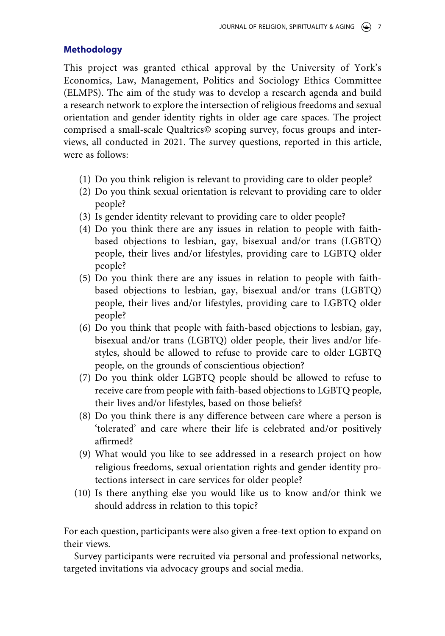## **Methodology**

This project was granted ethical approval by the University of York's Economics, Law, Management, Politics and Sociology Ethics Committee (ELMPS). The aim of the study was to develop a research agenda and build a research network to explore the intersection of religious freedoms and sexual orientation and gender identity rights in older age care spaces. The project comprised a small-scale Qualtrics© scoping survey, focus groups and interviews, all conducted in 2021. The survey questions, reported in this article, were as follows:

- (1) Do you think religion is relevant to providing care to older people?
- (2) Do you think sexual orientation is relevant to providing care to older people?
- (3) Is gender identity relevant to providing care to older people?
- (4) Do you think there are any issues in relation to people with faithbased objections to lesbian, gay, bisexual and/or trans (LGBTQ) people, their lives and/or lifestyles, providing care to LGBTQ older people?
- (5) Do you think there are any issues in relation to people with faithbased objections to lesbian, gay, bisexual and/or trans (LGBTQ) people, their lives and/or lifestyles, providing care to LGBTQ older people?
- (6) Do you think that people with faith-based objections to lesbian, gay, bisexual and/or trans (LGBTQ) older people, their lives and/or lifestyles, should be allowed to refuse to provide care to older LGBTQ people, on the grounds of conscientious objection?
- (7) Do you think older LGBTQ people should be allowed to refuse to receive care from people with faith-based objections to LGBTQ people, their lives and/or lifestyles, based on those beliefs?
- (8) Do you think there is any difference between care where a person is 'tolerated' and care where their life is celebrated and/or positively affirmed?
- (9) What would you like to see addressed in a research project on how religious freedoms, sexual orientation rights and gender identity protections intersect in care services for older people?
- (10) Is there anything else you would like us to know and/or think we should address in relation to this topic?

For each question, participants were also given a free-text option to expand on their views.

Survey participants were recruited via personal and professional networks, targeted invitations via advocacy groups and social media.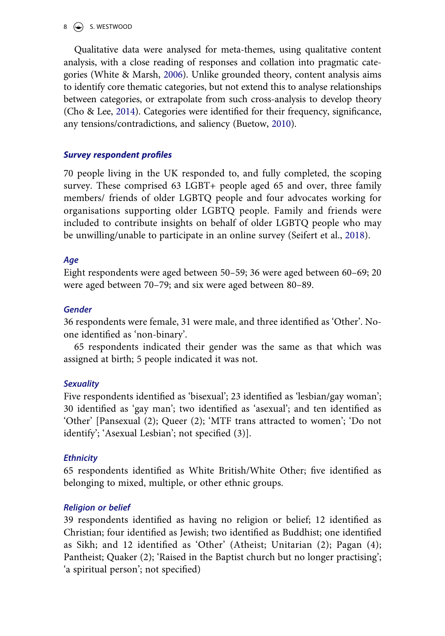#### $\circ$  S. WESTWOOD

<span id="page-9-3"></span>Qualitative data were analysed for meta-themes, using qualitative content analysis, with a close reading of responses and collation into pragmatic categories (White & Marsh, [2006\)](#page-27-2). Unlike grounded theory, content analysis aims to identify core thematic categories, but not extend this to analyse relationships between categories, or extrapolate from such cross-analysis to develop theory (Cho & Lee, [2014\)](#page-22-13). Categories were identified for their frequency, significance, any tensions/contradictions, and saliency (Buetow, [2010](#page-21-7)).

### <span id="page-9-1"></span><span id="page-9-0"></span>**Survey respondent profiles**

70 people living in the UK responded to, and fully completed, the scoping survey. These comprised 63 LGBT+ people aged 65 and over, three family members/ friends of older LGBTQ people and four advocates working for organisations supporting older LGBTQ people. Family and friends were included to contribute insights on behalf of older LGBTQ people who may be unwilling/unable to participate in an online survey (Seifert et al., [2018\)](#page-25-13).

## <span id="page-9-2"></span>**Age**

Eight respondents were aged between 50–59; 36 were aged between 60–69; 20 were aged between 70–79; and six were aged between 80–89.

### **Gender**

36 respondents were female, 31 were male, and three identified as 'Other'. Noone identified as 'non-binary'.

65 respondents indicated their gender was the same as that which was assigned at birth; 5 people indicated it was not.

### **Sexuality**

Five respondents identified as 'bisexual'; 23 identified as 'lesbian/gay woman'; 30 identified as 'gay man'; two identified as 'asexual'; and ten identified as 'Other' [Pansexual (2); Queer (2); 'MTF trans attracted to women'; 'Do not identify'; 'Asexual Lesbian'; not specified (3)].

### **Ethnicity**

65 respondents identified as White British/White Other; five identified as belonging to mixed, multiple, or other ethnic groups.

### **Religion or belief**

39 respondents identified as having no religion or belief; 12 identified as Christian; four identified as Jewish; two identified as Buddhist; one identified as Sikh; and 12 identified as 'Other' (Atheist; Unitarian (2); Pagan (4); Pantheist; Quaker (2); 'Raised in the Baptist church but no longer practising'; 'a spiritual person'; not specified)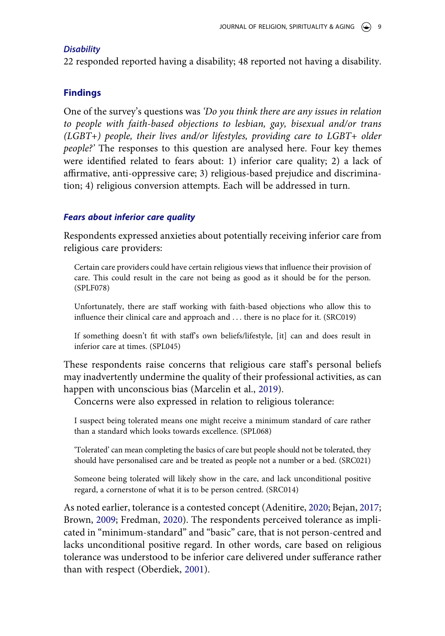#### **Disability**

22 responded reported having a disability; 48 reported not having a disability.

### **Findings**

One of the survey's questions was 'Do you think there are any issues in relation to people with faith-based objections to lesbian, gay, bisexual and/or trans (LGBT+) people, their lives and/or lifestyles, providing care to LGBT+ older people?' The responses to this question are analysed here. Four key themes were identified related to fears about: 1) inferior care quality; 2) a lack of affirmative, anti-oppressive care; 3) religious-based prejudice and discrimination; 4) religious conversion attempts. Each will be addressed in turn.

#### **Fears about inferior care quality**

Respondents expressed anxieties about potentially receiving inferior care from religious care providers:

Certain care providers could have certain religious views that influence their provision of care. This could result in the care not being as good as it should be for the person. (SPLF078)

Unfortunately, there are staff working with faith-based objections who allow this to influence their clinical care and approach and . . . there is no place for it. (SRC019)

If something doesn't fit with staff's own beliefs/lifestyle, [it] can and does result in inferior care at times. (SPL045)

<span id="page-10-0"></span>These respondents raise concerns that religious care staff's personal beliefs may inadvertently undermine the quality of their professional activities, as can happen with unconscious bias (Marcelin et al., [2019\)](#page-24-12).

Concerns were also expressed in relation to religious tolerance:

I suspect being tolerated means one might receive a minimum standard of care rather than a standard which looks towards excellence. (SPL068)

'Tolerated' can mean completing the basics of care but people should not be tolerated, they should have personalised care and be treated as people not a number or a bed. (SRC021)

Someone being tolerated will likely show in the care, and lack unconditional positive regard, a cornerstone of what it is to be person centred. (SRC014)

<span id="page-10-1"></span>As noted earlier, tolerance is a contested concept (Adenitire, [2020;](#page-21-5) Bejan, [2017](#page-21-4); Brown, [2009;](#page-21-3) Fredman, [2020\)](#page-23-8). The respondents perceived tolerance as implicated in "minimum-standard" and "basic" care, that is not person-centred and lacks unconditional positive regard. In other words, care based on religious tolerance was understood to be inferior care delivered under sufferance rather than with respect (Oberdiek, [2001](#page-25-14)).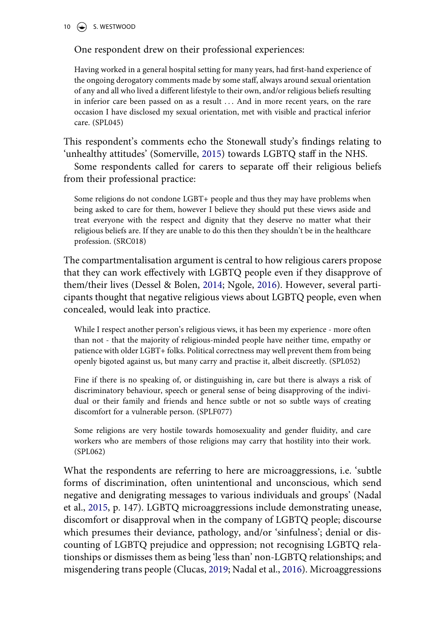#### 10  $\left(\bigstar\right)$  S. WESTWOOD

#### One respondent drew on their professional experiences:

Having worked in a general hospital setting for many years, had first-hand experience of the ongoing derogatory comments made by some staff, always around sexual orientation of any and all who lived a different lifestyle to their own, and/or religious beliefs resulting in inferior care been passed on as a result ... And in more recent years, on the rare occasion I have disclosed my sexual orientation, met with visible and practical inferior care. (SPL045)

<span id="page-11-2"></span>This respondent's comments echo the Stonewall study's findings relating to 'unhealthy attitudes' (Somerville, [2015\)](#page-25-15) towards LGBTQ staff in the NHS.

Some respondents called for carers to separate off their religious beliefs from their professional practice:

Some religions do not condone LGBT+ people and thus they may have problems when being asked to care for them, however I believe they should put these views aside and treat everyone with the respect and dignity that they deserve no matter what their religious beliefs are. If they are unable to do this then they shouldn't be in the healthcare profession. (SRC018)

The compartmentalisation argument is central to how religious carers propose that they can work effectively with LGBTQ people even if they disapprove of them/their lives (Dessel & Bolen, [2014;](#page-22-2) Ngole, [2016](#page-25-11)). However, several participants thought that negative religious views about LGBTQ people, even when concealed, would leak into practice.

While I respect another person's religious views, it has been my experience - more often than not - that the majority of religious-minded people have neither time, empathy or patience with older LGBT+ folks. Political correctness may well prevent them from being openly bigoted against us, but many carry and practise it, albeit discreetly. (SPL052)

Fine if there is no speaking of, or distinguishing in, care but there is always a risk of discriminatory behaviour, speech or general sense of being disapproving of the individual or their family and friends and hence subtle or not so subtle ways of creating discomfort for a vulnerable person. (SPLF077)

Some religions are very hostile towards homosexuality and gender fluidity, and care workers who are members of those religions may carry that hostility into their work. (SPL062)

<span id="page-11-1"></span><span id="page-11-0"></span>What the respondents are referring to here are microaggressions, i.e. 'subtle forms of discrimination, often unintentional and unconscious, which send negative and denigrating messages to various individuals and groups' (Nadal et al., [2015](#page-24-13), p. 147). LGBTQ microaggressions include demonstrating unease, discomfort or disapproval when in the company of LGBTQ people; discourse which presumes their deviance, pathology, and/or 'sinfulness'; denial or discounting of LGBTQ prejudice and oppression; not recognising LGBTQ relationships or dismisses them as being 'less than' non-LGBTQ relationships; and misgendering trans people (Clucas, [2019](#page-22-14); Nadal et al., [2016\)](#page-25-16). Microaggressions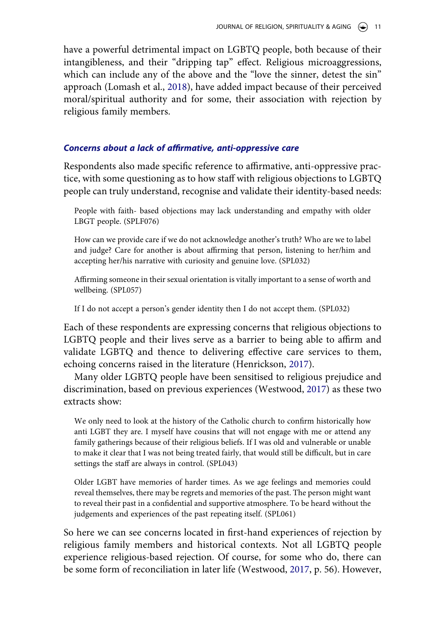<span id="page-12-1"></span>have a powerful detrimental impact on LGBTQ people, both because of their intangibleness, and their "dripping tap" effect. Religious microaggressions, which can include any of the above and the "love the sinner, detest the sin" approach (Lomash et al., [2018\)](#page-24-14), have added impact because of their perceived moral/spiritual authority and for some, their association with rejection by religious family members.

#### **Concerns about a lack of affirmative, anti-oppressive care**

Respondents also made specific reference to affirmative, anti-oppressive practice, with some questioning as to how staff with religious objections to LGBTQ people can truly understand, recognise and validate their identity-based needs:

People with faith- based objections may lack understanding and empathy with older LBGT people. (SPLF076)

How can we provide care if we do not acknowledge another's truth? Who are we to label and judge? Care for another is about affirming that person, listening to her/him and accepting her/his narrative with curiosity and genuine love. (SPL032)

Affirming someone in their sexual orientation is vitally important to a sense of worth and wellbeing. (SPL057)

If I do not accept a person's gender identity then I do not accept them. (SPL032)

Each of these respondents are expressing concerns that religious objections to LGBTQ people and their lives serve as a barrier to being able to affirm and validate LGBTQ and thence to delivering effective care services to them, echoing concerns raised in the literature (Henrickson, [2017\)](#page-23-10).

<span id="page-12-0"></span>Many older LGBTQ people have been sensitised to religious prejudice and discrimination, based on previous experiences (Westwood, [2017](#page-26-1)) as these two extracts show:

We only need to look at the history of the Catholic church to confirm historically how anti LGBT they are. I myself have cousins that will not engage with me or attend any family gatherings because of their religious beliefs. If I was old and vulnerable or unable to make it clear that I was not being treated fairly, that would still be difficult, but in care settings the staff are always in control. (SPL043)

Older LGBT have memories of harder times. As we age feelings and memories could reveal themselves, there may be regrets and memories of the past. The person might want to reveal their past in a confidential and supportive atmosphere. To be heard without the judgements and experiences of the past repeating itself. (SPL061)

So here we can see concerns located in first-hand experiences of rejection by religious family members and historical contexts. Not all LGBTQ people experience religious-based rejection. Of course, for some who do, there can be some form of reconciliation in later life (Westwood, [2017](#page-26-1), p. 56). However,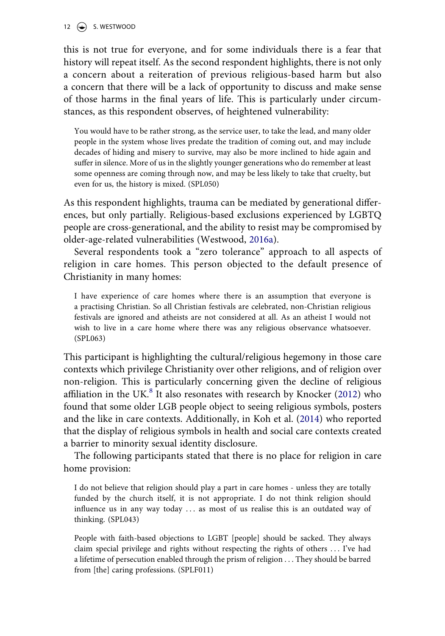#### 12  $\left(\rightarrow\right)$  S. WESTWOOD

this is not true for everyone, and for some individuals there is a fear that history will repeat itself. As the second respondent highlights, there is not only a concern about a reiteration of previous religious-based harm but also a concern that there will be a lack of opportunity to discuss and make sense of those harms in the final years of life. This is particularly under circumstances, as this respondent observes, of heightened vulnerability:

You would have to be rather strong, as the service user, to take the lead, and many older people in the system whose lives predate the tradition of coming out, and may include decades of hiding and misery to survive, may also be more inclined to hide again and suffer in silence. More of us in the slightly younger generations who do remember at least some openness are coming through now, and may be less likely to take that cruelty, but even for us, the history is mixed. (SPL050)

As this respondent highlights, trauma can be mediated by generational differences, but only partially. Religious-based exclusions experienced by LGBTQ people are cross-generational, and the ability to resist may be compromised by older-age-related vulnerabilities (Westwood, [2016a](#page-26-0)).

Several respondents took a "zero tolerance" approach to all aspects of religion in care homes. This person objected to the default presence of Christianity in many homes:

I have experience of care homes where there is an assumption that everyone is a practising Christian. So all Christian festivals are celebrated, non-Christian religious festivals are ignored and atheists are not considered at all. As an atheist I would not wish to live in a care home where there was any religious observance whatsoever. (SPL063)

This participant is highlighting the cultural/religious hegemony in those care contexts which privilege Christianity over other religions, and of religion over non-religion. This is particularly concerning given the decline of religious affiliation in the UK. $^{8}$  $^{8}$  $^{8}$  It also resonates with research by Knocker ([2012\)](#page-24-4) who found that some older LGB people object to seeing religious symbols, posters and the like in care contexts. Additionally, in Koh et al. ([2014\)](#page-24-15) who reported that the display of religious symbols in health and social care contexts created a barrier to minority sexual identity disclosure.

<span id="page-13-0"></span>The following participants stated that there is no place for religion in care home provision:

I do not believe that religion should play a part in care homes - unless they are totally funded by the church itself, it is not appropriate. I do not think religion should influence us in any way today . . . as most of us realise this is an outdated way of thinking. (SPL043)

People with faith-based objections to LGBT [people] should be sacked. They always claim special privilege and rights without respecting the rights of others . . . I've had a lifetime of persecution enabled through the prism of religion . . . They should be barred from [the] caring professions. (SPLF011)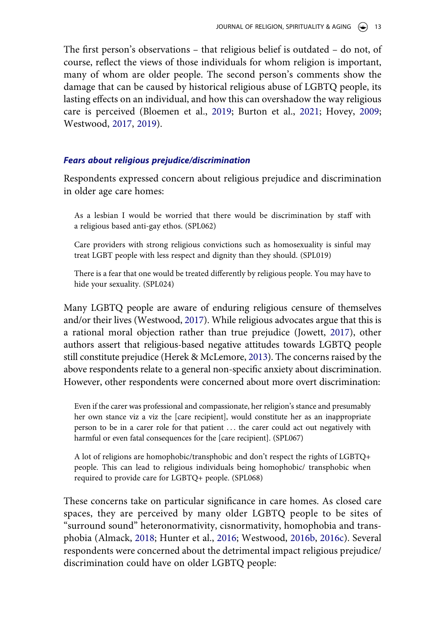The first person's observations – that religious belief is outdated – do not, of course, reflect the views of those individuals for whom religion is important, many of whom are older people. The second person's comments show the damage that can be caused by historical religious abuse of LGBTQ people, its lasting effects on an individual, and how this can overshadow the way religious care is perceived (Bloemen et al., [2019](#page-21-8); Burton et al., [2021;](#page-21-9) Hovey, [2009](#page-23-11); Westwood, [2017](#page-26-1), [2019](#page-26-10)).

#### <span id="page-14-3"></span><span id="page-14-0"></span>**Fears about religious prejudice/discrimination**

Respondents expressed concern about religious prejudice and discrimination in older age care homes:

As a lesbian I would be worried that there would be discrimination by staff with a religious based anti-gay ethos. (SPL062)

Care providers with strong religious convictions such as homosexuality is sinful may treat LGBT people with less respect and dignity than they should. (SPL019)

There is a fear that one would be treated differently by religious people. You may have to hide your sexuality. (SPL024)

<span id="page-14-2"></span><span id="page-14-1"></span>Many LGBTQ people are aware of enduring religious censure of themselves and/or their lives (Westwood, [2017\)](#page-26-1). While religious advocates argue that this is a rational moral objection rather than true prejudice (Jowett, [2017\)](#page-23-12), other authors assert that religious-based negative attitudes towards LGBTQ people still constitute prejudice (Herek & McLemore, [2013](#page-23-13)). The concerns raised by the above respondents relate to a general non-specific anxiety about discrimination. However, other respondents were concerned about more overt discrimination:

Even if the carer was professional and compassionate, her religion's stance and presumably her own stance viz a viz the [care recipient], would constitute her as an inappropriate person to be in a carer role for that patient . . . the carer could act out negatively with harmful or even fatal consequences for the [care recipient]. (SPL067)

A lot of religions are homophobic/transphobic and don't respect the rights of LGBTQ+ people. This can lead to religious individuals being homophobic/ transphobic when required to provide care for LGBTQ+ people. (SPL068)

These concerns take on particular significance in care homes. As closed care spaces, they are perceived by many older LGBTQ people to be sites of "surround sound" heteronormativity, cisnormativity, homophobia and transphobia (Almack, [2018;](#page-21-2) Hunter et al., [2016;](#page-23-1) Westwood, [2016b,](#page-26-3) [2016c](#page-26-4)). Several respondents were concerned about the detrimental impact religious prejudice/ discrimination could have on older LGBTQ people: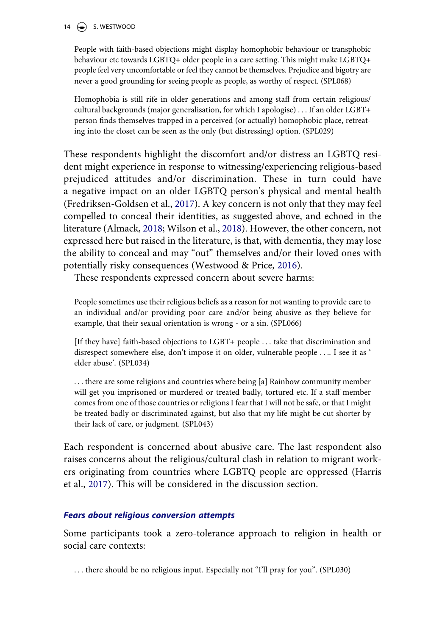#### 14  $\left(\rightarrow\right)$  S. WESTWOOD

People with faith-based objections might display homophobic behaviour or transphobic behaviour etc towards LGBTQ+ older people in a care setting. This might make LGBTQ+ people feel very uncomfortable or feel they cannot be themselves. Prejudice and bigotry are never a good grounding for seeing people as people, as worthy of respect. (SPL068)

Homophobia is still rife in older generations and among staff from certain religious/ cultural backgrounds (major generalisation, for which I apologise) . . . If an older LGBT+ person finds themselves trapped in a perceived (or actually) homophobic place, retreating into the closet can be seen as the only (but distressing) option. (SPL029)

<span id="page-15-0"></span>These respondents highlight the discomfort and/or distress an LGBTQ resident might experience in response to witnessing/experiencing religious-based prejudiced attitudes and/or discrimination. These in turn could have a negative impact on an older LGBTQ person's physical and mental health (Fredriksen-Goldsen et al., [2017](#page-23-14)). A key concern is not only that they may feel compelled to conceal their identities, as suggested above, and echoed in the literature (Almack, [2018;](#page-21-2) Wilson et al., [2018\)](#page-27-3). However, the other concern, not expressed here but raised in the literature, is that, with dementia, they may lose the ability to conceal and may "out" themselves and/or their loved ones with potentially risky consequences (Westwood & Price, [2016](#page-27-4)).

<span id="page-15-3"></span><span id="page-15-2"></span>These respondents expressed concern about severe harms:

People sometimes use their religious beliefs as a reason for not wanting to provide care to an individual and/or providing poor care and/or being abusive as they believe for example, that their sexual orientation is wrong - or a sin. (SPL066)

[If they have] faith-based objections to LGBT+ people . . . take that discrimination and disrespect somewhere else, don't impose it on older, vulnerable people . . .. I see it as ' elder abuse'. (SPL034)

. . . there are some religions and countries where being [a] Rainbow community member will get you imprisoned or murdered or treated badly, tortured etc. If a staff member comes from one of those countries or religions I fear that I will not be safe, or that I might be treated badly or discriminated against, but also that my life might be cut shorter by their lack of care, or judgment. (SPL043)

<span id="page-15-1"></span>Each respondent is concerned about abusive care. The last respondent also raises concerns about the religious/cultural clash in relation to migrant workers originating from countries where LGBTQ people are oppressed (Harris et al., [2017](#page-23-15)). This will be considered in the discussion section.

#### **Fears about religious conversion attempts**

Some participants took a zero-tolerance approach to religion in health or social care contexts:

... there should be no religious input. Especially not "I'll pray for you". (SPL030)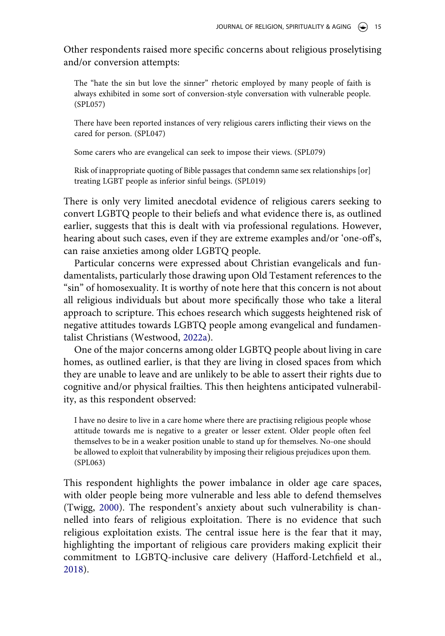Other respondents raised more specific concerns about religious proselytising and/or conversion attempts:

The "hate the sin but love the sinner" rhetoric employed by many people of faith is always exhibited in some sort of conversion-style conversation with vulnerable people. (SPL057)

There have been reported instances of very religious carers inflicting their views on the cared for person. (SPL047)

Some carers who are evangelical can seek to impose their views. (SPL079)

Risk of inappropriate quoting of Bible passages that condemn same sex relationships [or] treating LGBT people as inferior sinful beings. (SPL019)

There is only very limited anecdotal evidence of religious carers seeking to convert LGBTQ people to their beliefs and what evidence there is, as outlined earlier, suggests that this is dealt with via professional regulations. However, hearing about such cases, even if they are extreme examples and/or 'one-off's, can raise anxieties among older LGBTQ people.

Particular concerns were expressed about Christian evangelicals and fundamentalists, particularly those drawing upon Old Testament references to the "sin" of homosexuality. It is worthy of note here that this concern is not about all religious individuals but about more specifically those who take a literal approach to scripture. This echoes research which suggests heightened risk of negative attitudes towards LGBTQ people among evangelical and fundamentalist Christians (Westwood, [2022a\)](#page-26-5).

One of the major concerns among older LGBTQ people about living in care homes, as outlined earlier, is that they are living in closed spaces from which they are unable to leave and are unlikely to be able to assert their rights due to cognitive and/or physical frailties. This then heightens anticipated vulnerability, as this respondent observed:

I have no desire to live in a care home where there are practising religious people whose attitude towards me is negative to a greater or lesser extent. Older people often feel themselves to be in a weaker position unable to stand up for themselves. No-one should be allowed to exploit that vulnerability by imposing their religious prejudices upon them. (SPL063)

<span id="page-16-0"></span>This respondent highlights the power imbalance in older age care spaces, with older people being more vulnerable and less able to defend themselves (Twigg, [2000\)](#page-26-11). The respondent's anxiety about such vulnerability is channelled into fears of religious exploitation. There is no evidence that such religious exploitation exists. The central issue here is the fear that it may, highlighting the important of religious care providers making explicit their commitment to LGBTQ-inclusive care delivery (Hafford-Letchfield et al., [2018](#page-23-4)).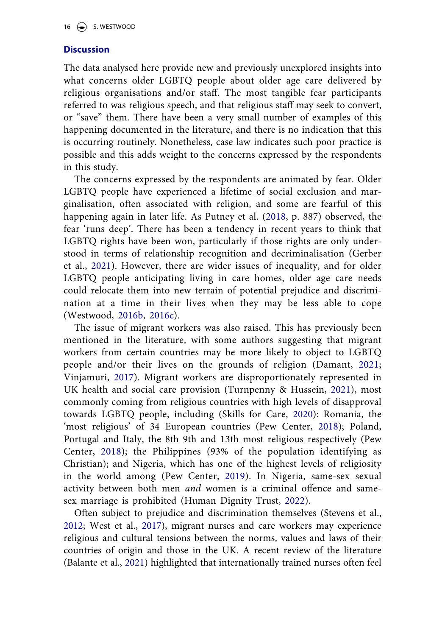#### **Discussion**

The data analysed here provide new and previously unexplored insights into what concerns older LGBTQ people about older age care delivered by religious organisations and/or staff. The most tangible fear participants referred to was religious speech, and that religious staff may seek to convert, or "save" them. There have been a very small number of examples of this happening documented in the literature, and there is no indication that this is occurring routinely. Nonetheless, case law indicates such poor practice is possible and this adds weight to the concerns expressed by the respondents in this study.

The concerns expressed by the respondents are animated by fear. Older LGBTQ people have experienced a lifetime of social exclusion and marginalisation, often associated with religion, and some are fearful of this happening again in later life. As Putney et al. ([2018,](#page-25-8) p. 887) observed, the fear 'runs deep'. There has been a tendency in recent years to think that LGBTQ rights have been won, particularly if those rights are only understood in terms of relationship recognition and decriminalisation (Gerber et al., [2021\)](#page-23-16). However, there are wider issues of inequality, and for older LGBTQ people anticipating living in care homes, older age care needs could relocate them into new terrain of potential prejudice and discrimination at a time in their lives when they may be less able to cope (Westwood, [2016b](#page-26-3), [2016c\)](#page-26-4).

<span id="page-17-9"></span><span id="page-17-8"></span><span id="page-17-6"></span><span id="page-17-4"></span><span id="page-17-3"></span>The issue of migrant workers was also raised. This has previously been mentioned in the literature, with some authors suggesting that migrant workers from certain countries may be more likely to object to LGBTQ people and/or their lives on the grounds of religion (Damant, [2021](#page-22-15); Vinjamuri, [2017\)](#page-26-12). Migrant workers are disproportionately represented in UK health and social care provision (Turnpenny & Hussein, [2021](#page-26-13)), most commonly coming from religious countries with high levels of disapproval towards LGBTQ people, including (Skills for Care, [2020](#page-25-17)): Romania, the 'most religious' of 34 European countries (Pew Center, [2018](#page-21-10)); Poland, Portugal and Italy, the 8th 9th and 13th most religious respectively (Pew Center, [2018](#page-21-10)); the Philippines (93% of the population identifying as Christian); and Nigeria, which has one of the highest levels of religiosity in the world among (Pew Center, [2019\)](#page-22-16). In Nigeria, same-sex sexual activity between both men and women is a criminal offence and samesex marriage is prohibited (Human Dignity Trust, [2022](#page-23-17)).

<span id="page-17-10"></span><span id="page-17-7"></span><span id="page-17-5"></span><span id="page-17-2"></span><span id="page-17-1"></span><span id="page-17-0"></span>Often subject to prejudice and discrimination themselves (Stevens et al., [2012](#page-25-18); West et al., [2017\)](#page-26-14), migrant nurses and care workers may experience religious and cultural tensions between the norms, values and laws of their countries of origin and those in the UK. A recent review of the literature (Balante et al., [2021\)](#page-21-11) highlighted that internationally trained nurses often feel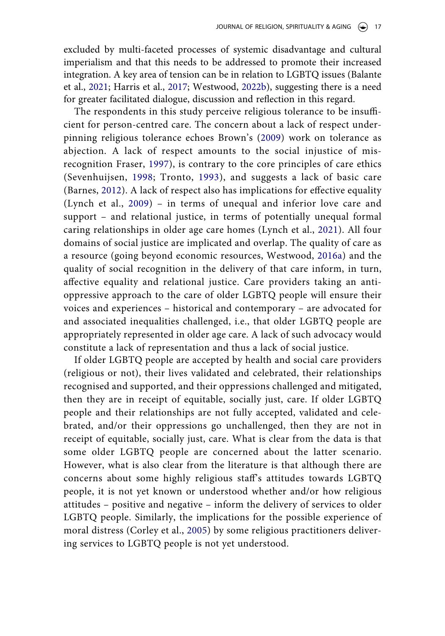excluded by multi-faceted processes of systemic disadvantage and cultural imperialism and that this needs to be addressed to promote their increased integration. A key area of tension can be in relation to LGBTQ issues (Balante et al., [2021;](#page-21-11) Harris et al., [2017](#page-23-15); Westwood, [2022b\)](#page-26-7), suggesting there is a need for greater facilitated dialogue, discussion and reflection in this regard.

The respondents in this study perceive religious tolerance to be insufficient for person-centred care. The concern about a lack of respect underpinning religious tolerance echoes Brown's ([2009](#page-21-3)) work on tolerance as abjection. A lack of respect amounts to the social injustice of misrecognition Fraser, [1997](#page-22-3)), is contrary to the core principles of care ethics (Sevenhuijsen, [1998](#page-25-12); Tronto, [1993](#page-26-9)), and suggests a lack of basic care (Barnes, [2012\)](#page-21-6). A lack of respect also has implications for effective equality (Lynch et al., [2009\)](#page-24-7) – in terms of unequal and inferior love care and support – and relational justice, in terms of potentially unequal formal caring relationships in older age care homes (Lynch et al., [2021](#page-24-8)). All four domains of social justice are implicated and overlap. The quality of care as a resource (going beyond economic resources, Westwood, [2016a\)](#page-26-0) and the quality of social recognition in the delivery of that care inform, in turn, affective equality and relational justice. Care providers taking an antioppressive approach to the care of older LGBTQ people will ensure their voices and experiences – historical and contemporary – are advocated for and associated inequalities challenged, i.e., that older LGBTQ people are appropriately represented in older age care. A lack of such advocacy would constitute a lack of representation and thus a lack of social justice.

<span id="page-18-0"></span>If older LGBTQ people are accepted by health and social care providers (religious or not), their lives validated and celebrated, their relationships recognised and supported, and their oppressions challenged and mitigated, then they are in receipt of equitable, socially just, care. If older LGBTQ people and their relationships are not fully accepted, validated and celebrated, and/or their oppressions go unchallenged, then they are not in receipt of equitable, socially just, care. What is clear from the data is that some older LGBTQ people are concerned about the latter scenario. However, what is also clear from the literature is that although there are concerns about some highly religious staff's attitudes towards LGBTQ people, it is not yet known or understood whether and/or how religious attitudes – positive and negative – inform the delivery of services to older LGBTQ people. Similarly, the implications for the possible experience of moral distress (Corley et al., [2005\)](#page-22-17) by some religious practitioners delivering services to LGBTQ people is not yet understood.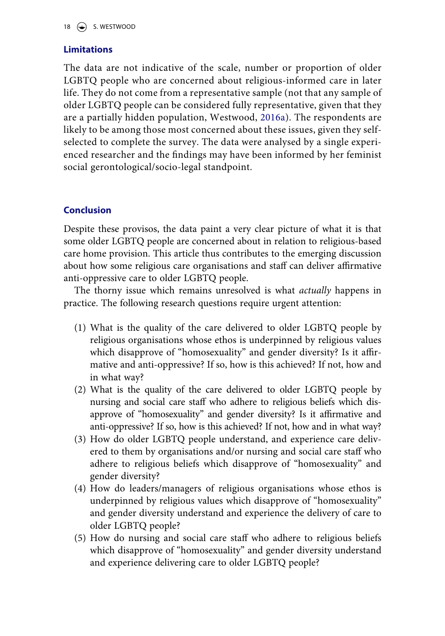#### 18  $\left(\bigstar\right)$  S. WESTWOOD

#### **Limitations**

The data are not indicative of the scale, number or proportion of older LGBTQ people who are concerned about religious-informed care in later life. They do not come from a representative sample (not that any sample of older LGBTQ people can be considered fully representative, given that they are a partially hidden population, Westwood, [2016a](#page-26-0)). The respondents are likely to be among those most concerned about these issues, given they selfselected to complete the survey. The data were analysed by a single experienced researcher and the findings may have been informed by her feminist social gerontological/socio-legal standpoint.

### **Conclusion**

Despite these provisos, the data paint a very clear picture of what it is that some older LGBTQ people are concerned about in relation to religious-based care home provision. This article thus contributes to the emerging discussion about how some religious care organisations and staff can deliver affirmative anti-oppressive care to older LGBTQ people.

The thorny issue which remains unresolved is what *actually* happens in practice. The following research questions require urgent attention:

- (1) What is the quality of the care delivered to older LGBTQ people by religious organisations whose ethos is underpinned by religious values which disapprove of "homosexuality" and gender diversity? Is it affirmative and anti-oppressive? If so, how is this achieved? If not, how and in what way?
- (2) What is the quality of the care delivered to older LGBTQ people by nursing and social care staff who adhere to religious beliefs which disapprove of "homosexuality" and gender diversity? Is it affirmative and anti-oppressive? If so, how is this achieved? If not, how and in what way?
- (3) How do older LGBTQ people understand, and experience care delivered to them by organisations and/or nursing and social care staff who adhere to religious beliefs which disapprove of "homosexuality" and gender diversity?
- (4) How do leaders/managers of religious organisations whose ethos is underpinned by religious values which disapprove of "homosexuality" and gender diversity understand and experience the delivery of care to older LGBTQ people?
- (5) How do nursing and social care staff who adhere to religious beliefs which disapprove of "homosexuality" and gender diversity understand and experience delivering care to older LGBTQ people?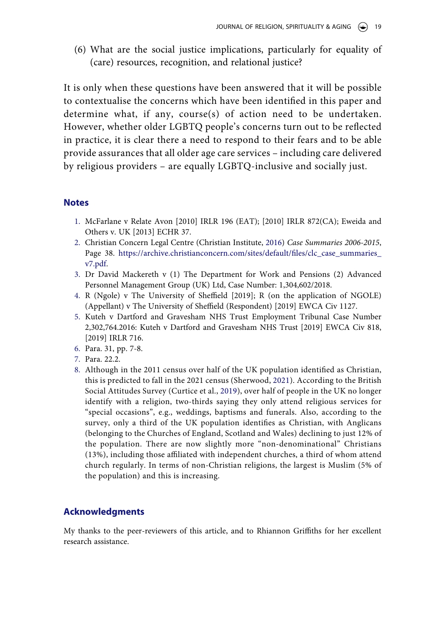(6) What are the social justice implications, particularly for equality of (care) resources, recognition, and relational justice?

It is only when these questions have been answered that it will be possible to contextualise the concerns which have been identified in this paper and determine what, if any, course(s) of action need to be undertaken. However, whether older LGBTQ people's concerns turn out to be reflected in practice, it is clear there a need to respond to their fears and to be able provide assurances that all older age care services – including care delivered by religious providers – are equally LGBTQ-inclusive and socially just.

#### **Notes**

- <span id="page-20-0"></span>1. McFarlane v Relate Avon [2010] IRLR 196 (EAT); [2010] IRLR 872(CA); Eweida and Others v. UK [2013] ECHR 37.
- <span id="page-20-1"></span>2. Christian Concern Legal Centre (Christian Institute, [2016](#page-22-9)) Case Summaries 2006-2015, Page 38. [https://archive.christianconcern.com/sites/default/files/clc\\_case\\_summaries\\_](https://archive.christianconcern.com/sites/default/files/clc_case_summaries_v7.pdf) [v7.pdf](https://archive.christianconcern.com/sites/default/files/clc_case_summaries_v7.pdf).
- <span id="page-20-2"></span>3. Dr David Mackereth v (1) The Department for Work and Pensions (2) Advanced Personnel Management Group (UK) Ltd, Case Number: 1,304,602/2018.
- <span id="page-20-3"></span>4. R (Ngole) v The University of Sheffield [2019]; R (on the application of NGOLE) (Appellant) v The University of Sheffield (Respondent) [2019] EWCA Civ 1127.
- <span id="page-20-4"></span>5. Kuteh v Dartford and Gravesham NHS Trust Employment Tribunal Case Number 2,302,764.2016: Kuteh v Dartford and Gravesham NHS Trust [2019] EWCA Civ 818, [2019] IRLR 716.
- <span id="page-20-5"></span>6. Para. 31, pp. 7-8.
- <span id="page-20-6"></span>7. Para. 22.2.
- <span id="page-20-9"></span><span id="page-20-8"></span><span id="page-20-7"></span>8. Although in the 2011 census over half of the UK population identified as Christian, this is predicted to fall in the 2021 census (Sherwood, [2021](#page-25-19)). According to the British Social Attitudes Survey (Curtice et al., [2019\)](#page-22-18), over half of people in the UK no longer identify with a religion, two-thirds saying they only attend religious services for "special occasions", e.g., weddings, baptisms and funerals. Also, according to the survey, only a third of the UK population identifies as Christian, with Anglicans (belonging to the Churches of England, Scotland and Wales) declining to just 12% of the population. There are now slightly more "non-denominational" Christians (13%), including those affiliated with independent churches, a third of whom attend church regularly. In terms of non-Christian religions, the largest is Muslim (5% of the population) and this is increasing.

#### **Acknowledgments**

My thanks to the peer-reviewers of this article, and to Rhiannon Griffiths for her excellent research assistance.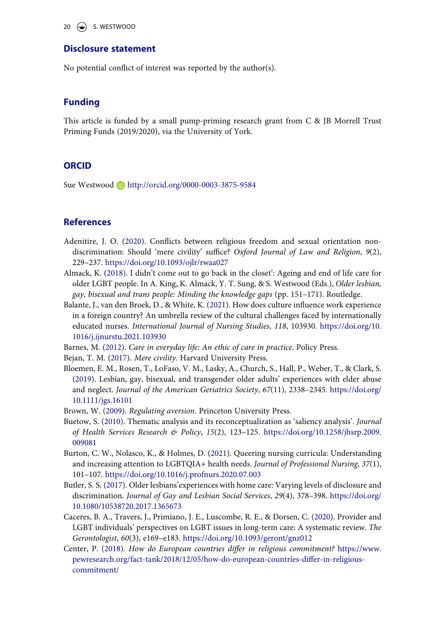#### 20  $\left(\bigstar\right)$  S. WESTWOOD

#### **Disclosure statement**

No potential conflict of interest was reported by the author(s).

#### **Funding**

This article is funded by a small pump-priming research grant from C & JB Morrell Trust Priming Funds (2019/2020), via the University of York.

#### **ORCID**

Sue Westwood **b** http://orcid.org/0000-0003-3875-9584

#### **References**

- <span id="page-21-5"></span>Adenitire, J. O. ([2020](#page-7-0)). Conflicts between religious freedom and sexual orientation nondiscrimination: Should 'mere civility' suffice? Oxford Journal of Law and Religion, 9(2), 229–237. <https://doi.org/10.1093/ojlr/rwaa027>
- <span id="page-21-2"></span>Almack, K. ([2018](#page-5-0)). I didn't come out to go back in the closet': Ageing and end of life care for older LGBT people. In A. King, K. Almack, Y. T. Sung, & S. Westwood (Eds.), Older lesbian, gay, bisexual and trans people: Minding the knowledge gaps (pp. 151–171). Routledge.
- <span id="page-21-11"></span>Balante, J., van den Broek, D., & White, K. [\(2021\)](#page-17-0). How does culture influence work experience in a foreign country? An umbrella review of the cultural challenges faced by internationally educated nurses. International Journal of Nursing Studies, 118, 103930. [https://doi.org/10.](https://doi.org/10.1016/j.ijnurstu.2021.103930)  [1016/j.ijnurstu.2021.103930](https://doi.org/10.1016/j.ijnurstu.2021.103930)

<span id="page-21-6"></span>Barnes, M. [\(2012\)](#page-7-1). Care in everyday life: An ethic of care in practice. Policy Press.

<span id="page-21-4"></span>Bejan, T. M. ([2017\)](#page-7-2). Mere civility. Harvard University Press.

- <span id="page-21-8"></span>Bloemen, E. M., Rosen, T., LoFaso, V. M., Lasky, A., Church, S., Hall, P., Weber, T., & Clark, S. [\(2019\)](#page-14-0). Lesbian, gay, bisexual, and transgender older adults' experiences with elder abuse and neglect. Journal of the American Geriatrics Society, 67(11), 2338–2345. [https://doi.org/](https://doi.org/10.1111/jgs.16101)  [10.1111/jgs.16101](https://doi.org/10.1111/jgs.16101)
- <span id="page-21-3"></span>Brown, W. ([2009](#page-7-3)). Regulating aversion. Princeton University Press.
- <span id="page-21-7"></span>Buetow, S. [\(2010](#page-9-0)). Thematic analysis and its reconceptualization as 'saliency analysis'. Journal of Health Services Research & Policy, 15(2), 123–125. [https://doi.org/10.1258/jhsrp.2009.](https://doi.org/10.1258/jhsrp.2009.009081)  [009081](https://doi.org/10.1258/jhsrp.2009.009081)
- <span id="page-21-9"></span>Burton, C. W., Nolasco, K., & Holmes, D. ([2021\)](#page-14-0). Queering nursing curricula: Understanding and increasing attention to LGBTQIA+ health needs. Journal of Professional Nursing, 37(1), 101–107. <https://doi.org/10.1016/j.profnurs.2020.07.003>
- <span id="page-21-0"></span>Butler, S. S. [\(2017\)](#page-3-0). Older lesbians'experiences with home care: Varying levels of disclosure and discrimination. Journal of Gay and Lesbian Social Services, 29(4), 378–398. [https://doi.org/](https://doi.org/10.1080/10538720.2017.1365673)  [10.1080/10538720.2017.1365673](https://doi.org/10.1080/10538720.2017.1365673)
- <span id="page-21-1"></span>Caceres, B. A., Travers, J., Primiano, J. E., Luscombe, R. E., & Dorsen, C. ([2020](#page-3-1)). Provider and LGBT individuals' perspectives on LGBT issues in long-term care: A systematic review. The Gerontologist, 60(3), e169–e183. <https://doi.org/10.1093/geront/gnz012>
- <span id="page-21-10"></span>Center, P. [\(2018](#page-17-1)). How do European countries differ in religious commitment? [https://www.](https://www.pewresearch.org/fact-tank/2018/12/05/how-do-european-countries-differ-in-religious-commitment/)  [pewresearch.org/fact-tank/2018/12/05/how-do-european-countries-differ-in-religious](https://www.pewresearch.org/fact-tank/2018/12/05/how-do-european-countries-differ-in-religious-commitment/)[commitment/](https://www.pewresearch.org/fact-tank/2018/12/05/how-do-european-countries-differ-in-religious-commitment/)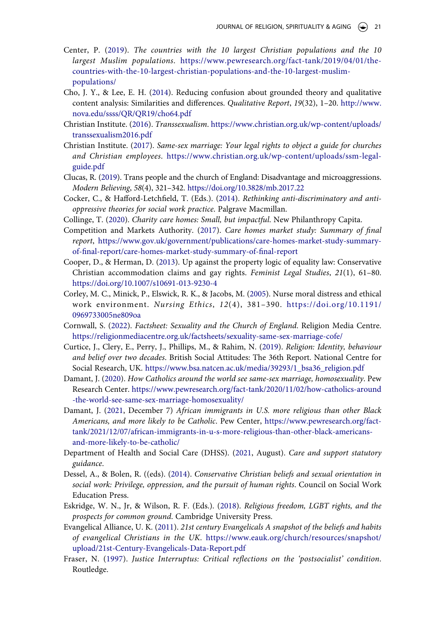- <span id="page-22-16"></span>Center, P. ([2019\)](#page-17-2). The countries with the 10 largest Christian populations and the 10 largest Muslim populations. [https://www.pewresearch.org/fact-tank/2019/04/01/the](https://www.pewresearch.org/fact-tank/2019/04/01/the-countries-with-the-10-largest-christian-populations-and-the-10-largest-muslim-populations/)[countries-with-the-10-largest-christian-populations-and-the-10-largest-muslim](https://www.pewresearch.org/fact-tank/2019/04/01/the-countries-with-the-10-largest-christian-populations-and-the-10-largest-muslim-populations/)[populations/](https://www.pewresearch.org/fact-tank/2019/04/01/the-countries-with-the-10-largest-christian-populations-and-the-10-largest-muslim-populations/)
- <span id="page-22-13"></span>Cho, J. Y., & Lee, E. H. [\(2014\)](#page-9-1). Reducing confusion about grounded theory and qualitative content analysis: Similarities and differences. Qualitative Report, 19(32), 1–20. [http://www.](http://www.nova.edu/ssss/QR/QR19/cho64.pdf) [nova.edu/ssss/QR/QR19/cho64.pdf](http://www.nova.edu/ssss/QR/QR19/cho64.pdf)
- <span id="page-22-9"></span>Christian Institute. ([2016\)](#page-5-1). Transsexualism. [https://www.christian.org.uk/wp-content/uploads/](https://www.christian.org.uk/wp-content/uploads/transsexualism2016.pdf) [transsexualism2016.pdf](https://www.christian.org.uk/wp-content/uploads/transsexualism2016.pdf)
- <span id="page-22-8"></span>Christian Institute. [\(2017](#page-5-2)). Same-sex marriage: Your legal rights to object a guide for churches and Christian employees. [https://www.christian.org.uk/wp-content/uploads/ssm-legal](https://www.christian.org.uk/wp-content/uploads/ssm-legal-guide.pdf)[guide.pdf](https://www.christian.org.uk/wp-content/uploads/ssm-legal-guide.pdf)
- <span id="page-22-14"></span>Clucas, R. ([2019\)](#page-11-0). Trans people and the church of England: Disadvantage and microaggressions. Modern Believing, 58(4), 321–342. <https://doi.org/10.3828/mb.2017.22>
- <span id="page-22-12"></span>Cocker, C., & Hafford-Letchfield, T. (Eds.). ([2014](#page-7-4)). Rethinking anti-discriminatory and antioppressive theories for social work practice. Palgrave Macmillan.
- <span id="page-22-1"></span>Collinge, T. [\(2020](#page-3-2)). Charity care homes: Small, but impactful. New Philanthropy Capita.
- <span id="page-22-0"></span>Competition and Markets Authority. ([2017](#page-3-3)). Care homes market study: Summary of final report, [https://www.gov.uk/government/publications/care-homes-market-study-summary](https://www.gov.uk/government/publications/care-homes-market-study-summary-of-final-report/care-homes-market-study-summary-of-final-report)[of-final-report/care-homes-market-study-summary-of-final-report](https://www.gov.uk/government/publications/care-homes-market-study-summary-of-final-report/care-homes-market-study-summary-of-final-report)
- <span id="page-22-4"></span>Cooper, D., & Herman, D. [\(2013](#page-4-0)). Up against the property logic of equality law: Conservative Christian accommodation claims and gay rights. Feminist Legal Studies, 21(1), 61–80. <https://doi.org/10.1007/s10691-013-9230-4>
- <span id="page-22-17"></span>Corley, M. C., Minick, P., Elswick, R. K., & Jacobs, M. ([2005](#page-18-0)). Nurse moral distress and ethical work environment. Nursing Ethics, 12(4), 381–390. [https://doi.org/10.1191/](https://doi.org/10.1191/0969733005ne809oa)  [0969733005ne809oa](https://doi.org/10.1191/0969733005ne809oa)
- <span id="page-22-6"></span>Cornwall, S. ([2022](#page-4-1)). Factsheet: Sexuality and the Church of England. Religion Media Centre. <https://religionmediacentre.org.uk/factsheets/sexuality-same-sex-marriage-cofe/>
- <span id="page-22-18"></span>Curtice, J., Clery, E., Perry, J., Phillips, M., & Rahim, N. ([2019](#page-20-8)). Religion: Identity, behaviour and belief over two decades. British Social Attitudes: The 36th Report. National Centre for Social Research, UK. [https://www.bsa.natcen.ac.uk/media/39293/1\\_bsa36\\_religion.pdf](https://www.bsa.natcen.ac.uk/media/39293/1_bsa36_religion.pdf)
- <span id="page-22-10"></span>Damant, J. ([2020\)](#page-5-3). How Catholics around the world see same-sex marriage, homosexuality. Pew Research Center. [https://www.pewresearch.org/fact-tank/2020/11/02/how-catholics-around](https://www.pewresearch.org/fact-tank/2020/11/02/how-catholics-around-the-world-see-same-sex-marriage-homosexuality/)  [-the-world-see-same-sex-marriage-homosexuality/](https://www.pewresearch.org/fact-tank/2020/11/02/how-catholics-around-the-world-see-same-sex-marriage-homosexuality/)
- <span id="page-22-15"></span>Damant, J. [\(2021](#page-17-3), December 7) African immigrants in U.S. more religious than other Black Americans, and more likely to be Catholic. Pew Center, [https://www.pewresearch.org/fact](https://www.pewresearch.org/fact-tank/2021/12/07/african-immigrants-in-u-s-more-religious-than-other-black-americans-and-more-likely-to-be-catholic/)[tank/2021/12/07/african-immigrants-in-u-s-more-religious-than-other-black-americans](https://www.pewresearch.org/fact-tank/2021/12/07/african-immigrants-in-u-s-more-religious-than-other-black-americans-and-more-likely-to-be-catholic/)[and-more-likely-to-be-catholic/](https://www.pewresearch.org/fact-tank/2021/12/07/african-immigrants-in-u-s-more-religious-than-other-black-americans-and-more-likely-to-be-catholic/)
- <span id="page-22-11"></span>Department of Health and Social Care (DHSS). ([2021,](#page-6-0) August). Care and support statutory guidance.
- <span id="page-22-2"></span>Dessel, A., & Bolen, R. ((eds). ([2014\)](#page-3-1). Conservative Christian beliefs and sexual orientation in social work: Privilege, oppression, and the pursuit of human rights. Council on Social Work Education Press.
- <span id="page-22-5"></span>Eskridge, W. N., Jr, & Wilson, R. F. (Eds.). [\(2018\)](#page-4-0). Religious freedom, LGBT rights, and the prospects for common ground. Cambridge University Press.
- <span id="page-22-7"></span>Evangelical Alliance, U. K. ([2011\)](#page-4-2). 21st century Evangelicals A snapshot of the beliefs and habits of evangelical Christians in the UK. [https://www.eauk.org/church/resources/snapshot/](https://www.eauk.org/church/resources/snapshot/upload/21st-Century-Evangelicals-Data-Report.pdf) [upload/21st-Century-Evangelicals-Data-Report.pdf](https://www.eauk.org/church/resources/snapshot/upload/21st-Century-Evangelicals-Data-Report.pdf)
- <span id="page-22-3"></span>Fraser, N. [\(1997](#page-4-3)). Justice Interruptus: Critical reflections on the 'postsocialist' condition. Routledge.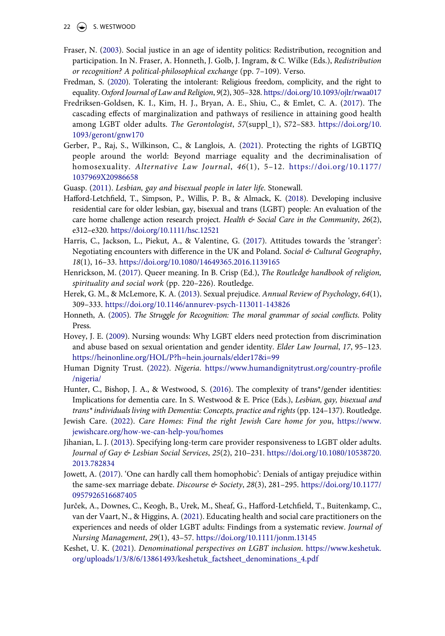- $22 \quad \Leftrightarrow$  S. WESTWOOD
- <span id="page-23-6"></span>Fraser, N. [\(2003\)](#page-4-3). Social justice in an age of identity politics: Redistribution, recognition and participation. In N. Fraser, A. Honneth, J. Golb, J. Ingram, & C. Wilke (Eds.), Redistribution or recognition? A political-philosophical exchange (pp. 7–109). Verso.
- <span id="page-23-8"></span>Fredman, S. ([2020](#page-7-2)). Tolerating the intolerant: Religious freedom, complicity, and the right to equality. Oxford Journal of Law and Religion, 9(2), 305–328. <https://doi.org/10.1093/ojlr/rwaa017>
- <span id="page-23-14"></span>Fredriksen-Goldsen, K. I., Kim, H. J., Bryan, A. E., Shiu, C., & Emlet, C. A. ([2017\)](#page-15-0). The cascading effects of marginalization and pathways of resilience in attaining good health among LGBT older adults. The Gerontologist, 57(suppl\_1), S72–S83. [https://doi.org/10.](https://doi.org/10.1093/geront/gnw170) [1093/geront/gnw170](https://doi.org/10.1093/geront/gnw170)
- <span id="page-23-16"></span>Gerber, P., Raj, S., Wilkinson, C., & Langlois, A. [\(2021\)](#page-17-4). Protecting the rights of LGBTIQ people around the world: Beyond marriage equality and the decriminalisation of homosexuality. Alternative Law Journal, 46(1), 5–12. [https://doi.org/10.1177/](https://doi.org/10.1177/1037969X20986658)  [1037969X20986658](https://doi.org/10.1177/1037969X20986658)
- <span id="page-23-0"></span>Guasp. ([2011\)](#page-3-4). Lesbian, gay and bisexual people in later life. Stonewall.
- <span id="page-23-4"></span>Hafford-Letchfield, T., Simpson, P., Willis, P. B., & Almack, K. [\(2018\)](#page-3-5). Developing inclusive residential care for older lesbian, gay, bisexual and trans (LGBT) people: An evaluation of the care home challenge action research project. Health  $\&$  Social Care in the Community, 26(2), e312–e320. <https://doi.org/10.1111/hsc.12521>
- <span id="page-23-15"></span>Harris, C., Jackson, L., Piekut, A., & Valentine, G. ([2017\)](#page-15-1). Attitudes towards the 'stranger': Negotiating encounters with difference in the UK and Poland. Social & Cultural Geography, 18(1), 16–33. <https://doi.org/10.1080/14649365.2016.1139165>
- <span id="page-23-10"></span>Henrickson, M. ([2017](#page-12-0)). Queer meaning. In B. Crisp (Ed.), The Routledge handbook of religion, spirituality and social work (pp. 220–226). Routledge.
- <span id="page-23-13"></span>Herek, G. M., & McLemore, K. A. ([2013](#page-14-1)). Sexual prejudice. Annual Review of Psychology, 64(1), 309–333. <https://doi.org/10.1146/annurev-psych-113011-143826>
- <span id="page-23-9"></span>Honneth, A. ([2005](#page-7-5)). The Struggle for Recognition: The moral grammar of social conflicts. Polity Press.
- <span id="page-23-11"></span>Hovey, J. E. [\(2009](#page-14-0)). Nursing wounds: Why LGBT elders need protection from discrimination and abuse based on sexual orientation and gender identity. Elder Law Journal, 17, 95–123. [https://heinonline.org/HOL/P?h=hein.journals/elder17&i=99](https://heinonline.org/HOL/P?h=hein.journals/elder17%26i=99)
- <span id="page-23-17"></span>Human Dignity Trust. ([2022](#page-17-5)). Nigeria. [https://www.humandignitytrust.org/country-profile](https://www.humandignitytrust.org/country-profile/nigeria/) [/nigeria/](https://www.humandignitytrust.org/country-profile/nigeria/)
- <span id="page-23-1"></span>Hunter, C., Bishop, J. A., & Westwood, S. ([2016\)](#page-3-4). The complexity of trans\*/gender identities: Implications for dementia care. In S. Westwood & E. Price (Eds.), Lesbian, gay, bisexual and trans\* individuals living with Dementia: Concepts, practice and rights (pp. 124–137). Routledge.
- <span id="page-23-3"></span>Jewish Care. ([2022](#page-3-6)). Care Homes: Find the right Jewish Care home for you, [https://www.](https://www.jewishcare.org/how-we-can-help-you/homes) [jewishcare.org/how-we-can-help-you/homes](https://www.jewishcare.org/how-we-can-help-you/homes)
- <span id="page-23-2"></span>Jihanian, L. J. ([2013\)](#page-3-5). Specifying long-term care provider responsiveness to LGBT older adults. Journal of Gay & Lesbian Social Services, 25(2), 210–231. [https://doi.org/10.1080/10538720.](https://doi.org/10.1080/10538720.2013.782834)  [2013.782834](https://doi.org/10.1080/10538720.2013.782834)
- <span id="page-23-12"></span>Jowett, A. [\(2017](#page-14-2)). 'One can hardly call them homophobic': Denials of antigay prejudice within the same-sex marriage debate. Discourse & Society, 28(3), 281-295. https://doi.org/10.1177/ [0957926516687405](https://doi.org/10.1177/0957926516687405)
- <span id="page-23-5"></span>Jurček, A., Downes, C., Keogh, B., Urek, M., Sheaf, G., Hafford-Letchfield, T., Buitenkamp, C., van der Vaart, N., & Higgins, A. ([2021](#page-3-5)). Educating health and social care practitioners on the experiences and needs of older LGBT adults: Findings from a systematic review. Journal of Nursing Management, 29(1), 43–57. <https://doi.org/10.1111/jonm.13145>
- <span id="page-23-7"></span>Keshet, U. K. [\(2021](#page-5-4)). Denominational perspectives on LGBT inclusion. [https://www.keshetuk.](https://www.keshetuk.org/uploads/1/3/8/6/13861493/keshetuk_factsheet_denominations_4.pdf)  [org/uploads/1/3/8/6/13861493/keshetuk\\_factsheet\\_denominations\\_4.pdf](https://www.keshetuk.org/uploads/1/3/8/6/13861493/keshetuk_factsheet_denominations_4.pdf)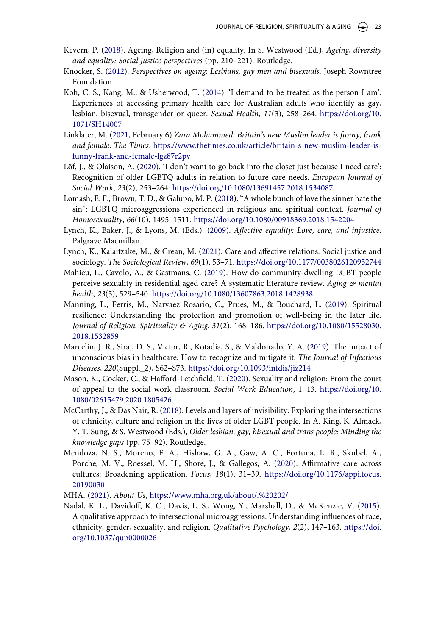- <span id="page-24-1"></span>Kevern, P. [\(2018](#page-2-0)). Ageing, Religion and (in) equality. In S. Westwood (Ed.), Ageing, diversity and equality: Social justice perspectives (pp. 210–221). Routledge.
- <span id="page-24-4"></span>Knocker, S. ([2012\)](#page-3-4). Perspectives on ageing: Lesbians, gay men and bisexuals. Joseph Rowntree Foundation.
- <span id="page-24-15"></span>Koh, C. S., Kang, M., & Usherwood, T. [\(2014\)](#page-13-0). 'I demand to be treated as the person I am': Experiences of accessing primary health care for Australian adults who identify as gay, lesbian, bisexual, transgender or queer. Sexual Health, 11(3), 258–264. [https://doi.org/10.](https://doi.org/10.1071/SH14007)  [1071/SH14007](https://doi.org/10.1071/SH14007)
- <span id="page-24-9"></span>Linklater, M. [\(2021,](#page-5-5) February 6) Zara Mohammed: Britain's new Muslim leader is funny, frank and female. The Times. [https://www.thetimes.co.uk/article/britain-s-new-muslim-leader-is](https://www.thetimes.co.uk/article/britain-s-new-muslim-leader-is-funny-frank-and-female-lgz87r2pv)[funny-frank-and-female-lgz87r2pv](https://www.thetimes.co.uk/article/britain-s-new-muslim-leader-is-funny-frank-and-female-lgz87r2pv)
- <span id="page-24-10"></span>Löf, J., & Olaison, A. [\(2020](#page-5-6)). 'I don't want to go back into the closet just because I need care': Recognition of older LGBTQ adults in relation to future care needs. European Journal of Social Work, 23(2), 253–264. <https://doi.org/10.1080/13691457.2018.1534087>
- <span id="page-24-14"></span>Lomash, E. F., Brown, T. D., & Galupo, M. P. [\(2018\)](#page-12-1). "A whole bunch of love the sinner hate the sin": LGBTQ microaggressions experienced in religious and spiritual context. Journal of Homosexuality, 66(10), 1495–1511. <https://doi.org/10.1080/00918369.2018.1542204>
- <span id="page-24-7"></span>Lynch, K., Baker, J., & Lyons, M. (Eds.). ([2009](#page-4-4)). Affective equality: Love, care, and injustice. Palgrave Macmillan.
- <span id="page-24-8"></span>Lynch, K., Kalaitzake, M., & Crean, M. ([2021\)](#page-4-4). Care and affective relations: Social justice and sociology. The Sociological Review, 69(1), 53–71. <https://doi.org/10.1177/0038026120952744>
- <span id="page-24-3"></span>Mahieu, L., Cavolo, A., & Gastmans, C. [\(2019\)](#page-3-7). How do community-dwelling LGBT people perceive sexuality in residential aged care? A systematic literature review. Aging  $\mathcal{L}$  mental health, 23(5), 529–540. <https://doi.org/10.1080/13607863.2018.1428938>
- <span id="page-24-0"></span>Manning, L., Ferris, M., Narvaez Rosario, C., Prues, M., & Bouchard, L. ([2019\)](#page-2-1). Spiritual resilience: Understanding the protection and promotion of well-being in the later life. Journal of Religion, Spirituality & Aging, 31(2), 168–186. [https://doi.org/10.1080/15528030.](https://doi.org/10.1080/15528030.2018.1532859)  [2018.1532859](https://doi.org/10.1080/15528030.2018.1532859)
- <span id="page-24-12"></span>Marcelin, J. R., Siraj, D. S., Victor, R., Kotadia, S., & Maldonado, Y. A. [\(2019](#page-10-0)). The impact of unconscious bias in healthcare: How to recognize and mitigate it. The Journal of Infectious Diseases, 220(Suppl.\_2), S62–S73. <https://doi.org/10.1093/infdis/jiz214>
- <span id="page-24-6"></span>Mason, K., Cocker, C., & Hafford-Letchfield, T. ([2020\)](#page-4-5). Sexuality and religion: From the court of appeal to the social work classroom. Social Work Education, 1–13. [https://doi.org/10.](https://doi.org/10.1080/02615479.2020.1805426)  [1080/02615479.2020.1805426](https://doi.org/10.1080/02615479.2020.1805426)
- <span id="page-24-2"></span>McCarthy, J., & Das Nair, R. [\(2018\)](#page-2-2). Levels and layers of invisibility: Exploring the intersections of ethnicity, culture and religion in the lives of older LGBT people. In A. King, K. Almack, Y. T. Sung, & S. Westwood (Eds.), Older lesbian, gay, bisexual and trans people: Minding the knowledge gaps (pp. 75–92). Routledge.
- <span id="page-24-11"></span>Mendoza, N. S., Moreno, F. A., Hishaw, G. A., Gaw, A. C., Fortuna, L. R., Skubel, A., Porche, M. V., Roessel, M. H., Shore, J., & Gallegos, A. ([2020\)](#page-7-4). Affirmative care across cultures: Broadening application. Focus, 18(1), 31–39. [https://doi.org/10.1176/appi.focus.](https://doi.org/10.1176/appi.focus.20190030)  [20190030](https://doi.org/10.1176/appi.focus.20190030)
- <span id="page-24-5"></span>MHA. [\(2021\)](#page-3-8). About Us, <https://www.mha.org.uk/about/.%20202/>
- <span id="page-24-13"></span>Nadal, K. L., Davidoff, K. C., Davis, L. S., Wong, Y., Marshall, D., & McKenzie, V. [\(2015\)](#page-11-1). A qualitative approach to intersectional microaggressions: Understanding influences of race, ethnicity, gender, sexuality, and religion. Qualitative Psychology, 2(2), 147–163. [https://doi.](https://doi.org/10.1037/qup0000026) [org/10.1037/qup0000026](https://doi.org/10.1037/qup0000026)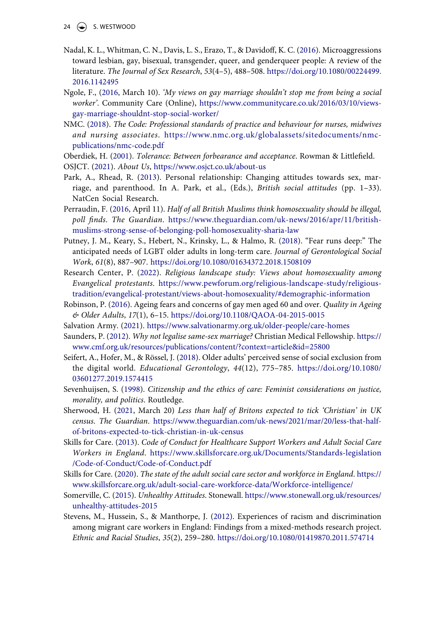- <span id="page-25-16"></span>Nadal, K. L., Whitman, C. N., Davis, L. S., Erazo, T., & Davidoff, K. C. [\(2016\)](#page-11-0). Microaggressions toward lesbian, gay, bisexual, transgender, queer, and genderqueer people: A review of the literature. The Journal of Sex Research, 53(4–5), 488–508. [https://doi.org/10.1080/00224499.](https://doi.org/10.1080/00224499.2016.1142495)  [2016.1142495](https://doi.org/10.1080/00224499.2016.1142495)
- <span id="page-25-11"></span>Ngole, F., [\(2016,](#page-7-6) March 10). 'My views on gay marriage shouldn't stop me from being a social worker'. Community Care (Online), [https://www.communitycare.co.uk/2016/03/10/views](https://www.communitycare.co.uk/2016/03/10/views-gay-marriage-shouldnt-stop-social-worker/)[gay-marriage-shouldnt-stop-social-worker/](https://www.communitycare.co.uk/2016/03/10/views-gay-marriage-shouldnt-stop-social-worker/)
- <span id="page-25-10"></span>NMC. ([2018](#page-6-1)). The Code: Professional standards of practice and behaviour for nurses, midwives and nursing associates. [https://www.nmc.org.uk/globalassets/sitedocuments/nmc](https://www.nmc.org.uk/globalassets/sitedocuments/nmc-publications/nmc-code.pdf)[publications/nmc-code.pdf](https://www.nmc.org.uk/globalassets/sitedocuments/nmc-publications/nmc-code.pdf)
- <span id="page-25-14"></span>Oberdiek, H. [\(2001](#page-10-1)). Tolerance: Between forbearance and acceptance. Rowman & Littlefield.
- <span id="page-25-1"></span>OSJCT. [\(2021](#page-3-9)). About Us, <https://www.osjct.co.uk/about-us>
- <span id="page-25-5"></span>Park, A., Rhead, R. ([2013](#page-4-6)). Personal relationship: Changing attitudes towards sex, marriage, and parenthood. In A. Park, et al., (Eds.), British social attitudes (pp. 1–33). NatCen Social Research.
- <span id="page-25-7"></span>Perraudin, F. ([2016,](#page-5-7) April 11). Half of all British Muslims think homosexuality should be illegal, poll finds. The Guardian. [https://www.theguardian.com/uk-news/2016/apr/11/british](https://www.theguardian.com/uk-news/2016/apr/11/british-muslims-strong-sense-of-belonging-poll-homosexuality-sharia-law)[muslims-strong-sense-of-belonging-poll-homosexuality-sharia-law](https://www.theguardian.com/uk-news/2016/apr/11/british-muslims-strong-sense-of-belonging-poll-homosexuality-sharia-law)
- <span id="page-25-8"></span>Putney, J. M., Keary, S., Hebert, N., Krinsky, L., & Halmo, R. ([2018](#page-5-8)). "Fear runs deep:" The anticipated needs of LGBT older adults in long-term care. Journal of Gerontological Social Work, 61(8), 887–907. <https://doi.org/10.1080/01634372.2018.1508109>
- <span id="page-25-6"></span>Research Center, P. ([2022](#page-4-2)). Religious landscape study: Views about homosexuality among Evangelical protestants. [https://www.pewforum.org/religious-landscape-study/religious](https://www.pewforum.org/religious-landscape-study/religious-tradition/evangelical-protestant/views-about-homosexuality/#demographic-information)[tradition/evangelical-protestant/views-about-homosexuality/#demographic-information](https://www.pewforum.org/religious-landscape-study/religious-tradition/evangelical-protestant/views-about-homosexuality/#demographic-information)
- <span id="page-25-0"></span>Robinson, P. ([2016](#page-3-10)). Ageing fears and concerns of gay men aged 60 and over. Quality in Ageing & Older Adults, 17(1), 6–15. <https://doi.org/10.1108/QAOA-04-2015-0015>
- <span id="page-25-2"></span>Salvation Army. [\(2021](#page-3-6)). <https://www.salvationarmy.org.uk/older-people/care-homes>
- <span id="page-25-4"></span>Saunders, P. ([2012](#page-3-11)). Why not legalise same-sex marriage? Christian Medical Fellowship. [https://](https://www.cmf.org.uk/resources/publications/content/?context=article%26id=25800) [www.cmf.org.uk/resources/publications/content/?context=article&id=25800](https://www.cmf.org.uk/resources/publications/content/?context=article%26id=25800)
- <span id="page-25-13"></span>Seifert, A., Hofer, M., & Rössel, J. [\(2018](#page-9-2)). Older adults' perceived sense of social exclusion from the digital world. Educational Gerontology, 44(12), 775–785. [https://doi.org/10.1080/](https://doi.org/10.1080/03601277.2019.1574415) [03601277.2019.1574415](https://doi.org/10.1080/03601277.2019.1574415)
- <span id="page-25-12"></span>Sevenhuijsen, S. [\(1998\)](#page-7-1). Citizenship and the ethics of care: Feminist considerations on justice, morality, and politics. Routledge.
- <span id="page-25-19"></span>Sherwood, H. [\(2021,](#page-20-9) March 20) Less than half of Britons expected to tick 'Christian' in UK census. The Guardian. [https://www.theguardian.com/uk-news/2021/mar/20/less-that-half](https://www.theguardian.com/uk-news/2021/mar/20/less-that-half-of-britons-expected-to-tick-christian-in-uk-census)[of-britons-expected-to-tick-christian-in-uk-census](https://www.theguardian.com/uk-news/2021/mar/20/less-that-half-of-britons-expected-to-tick-christian-in-uk-census)
- <span id="page-25-9"></span>Skills for Care. [\(2013](#page-6-2)). Code of Conduct for Healthcare Support Workers and Adult Social Care Workers in England. [https://www.skillsforcare.org.uk/Documents/Standards-legislation](https://www.skillsforcare.org.uk/Documents/Standards-legislation/Code-of-Conduct/Code-of-Conduct.pdf) [/Code-of-Conduct/Code-of-Conduct.pdf](https://www.skillsforcare.org.uk/Documents/Standards-legislation/Code-of-Conduct/Code-of-Conduct.pdf)
- <span id="page-25-17"></span>Skills for Care. ([2020](#page-17-6)). The state of the adult social care sector and workforce in England. [https://](https://www.skillsforcare.org.uk/adult-social-care-workforce-data/Workforce-intelligence/) [www.skillsforcare.org.uk/adult-social-care-workforce-data/Workforce-intelligence/](https://www.skillsforcare.org.uk/adult-social-care-workforce-data/Workforce-intelligence/)
- <span id="page-25-15"></span>Somerville, C. [\(2015\)](#page-11-2). Unhealthy Attitudes. Stonewall. [https://www.stonewall.org.uk/resources/](https://www.stonewall.org.uk/resources/unhealthy-attitudes-2015) [unhealthy-attitudes-2015](https://www.stonewall.org.uk/resources/unhealthy-attitudes-2015)
- <span id="page-25-18"></span><span id="page-25-3"></span>Stevens, M., Hussein, S., & Manthorpe, J. ([2012](#page-17-7)). Experiences of racism and discrimination among migrant care workers in England: Findings from a mixed-methods research project. Ethnic and Racial Studies, 35(2), 259–280. <https://doi.org/10.1080/01419870.2011.574714>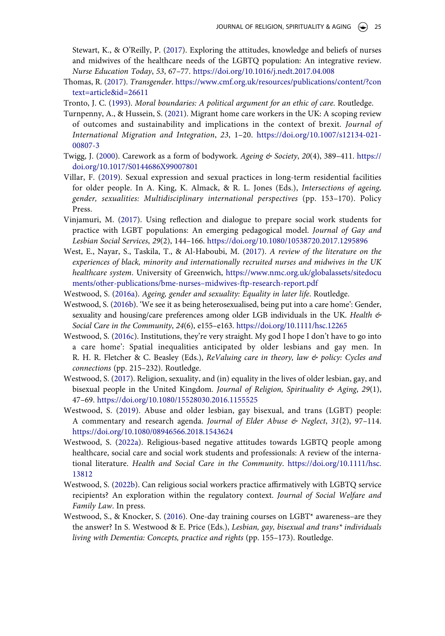Stewart, K., & O'Reilly, P. [\(2017\)](#page-3-5). Exploring the attitudes, knowledge and beliefs of nurses and midwives of the healthcare needs of the LGBTQ population: An integrative review. Nurse Education Today, 53, 67–77. <https://doi.org/10.1016/j.nedt.2017.04.008>

- <span id="page-26-6"></span>Thomas, R. [\(2017\)](#page-3-12). Transgender. [https://www.cmf.org.uk/resources/publications/content/?con](https://www.cmf.org.uk/resources/publications/content/?context=article%26id=26611)  [text=article&id=26611](https://www.cmf.org.uk/resources/publications/content/?context=article%26id=26611)
- <span id="page-26-9"></span>Tronto, J. C. [\(1993\)](#page-7-1). Moral boundaries: A political argument for an ethic of care. Routledge.
- <span id="page-26-13"></span>Turnpenny, A., & Hussein, S. ([2021\)](#page-17-8). Migrant home care workers in the UK: A scoping review of outcomes and sustainability and implications in the context of brexit. Journal of International Migration and Integration, 23, 1–20. [https://doi.org/10.1007/s12134-021-](https://doi.org/10.1007/s12134-021-00807-3) [00807-3](https://doi.org/10.1007/s12134-021-00807-3)
- <span id="page-26-11"></span>Twigg, J. [\(2000](#page-16-0)). Carework as a form of bodywork. Ageing  $\mathfrak{G}$  Society, 20(4), 389–411. [https://](https://doi.org/10.1017/S0144686X99007801) [doi.org/10.1017/S0144686X99007801](https://doi.org/10.1017/S0144686X99007801)
- <span id="page-26-2"></span>Villar, F. ([2019](#page-3-5)). Sexual expression and sexual practices in long-term residential facilities for older people. In A. King, K. Almack, & R. L. Jones (Eds.), Intersections of ageing, gender, sexualities: Multidisciplinary international perspectives (pp. 153–170). Policy Press.
- <span id="page-26-12"></span>Vinjamuri, M. ([2017](#page-17-9)). Using reflection and dialogue to prepare social work students for practice with LGBT populations: An emerging pedagogical model. Journal of Gay and Lesbian Social Services, 29(2), 144–166. <https://doi.org/10.1080/10538720.2017.1295896>
- <span id="page-26-14"></span>West, E., Nayar, S., Taskila, T., & Al-Haboubi, M. [\(2017](#page-17-10)). A review of the literature on the experiences of black, minority and internationally recruited nurses and midwives in the UK healthcare system. University of Greenwich, [https://www.nmc.org.uk/globalassets/sitedocu](https://www.nmc.org.uk/globalassets/sitedocuments/other-publications/bme-nurses%26#x2013;midwives-ftp-research-report.pdf) [ments/other-publications/bme-nurses–midwives-ftp-research-report.pdf](https://www.nmc.org.uk/globalassets/sitedocuments/other-publications/bme-nurses%26#x2013;midwives-ftp-research-report.pdf)
- <span id="page-26-0"></span>Westwood, S. [\(2016a\)](#page-2-3). Ageing, gender and sexuality: Equality in later life. Routledge.
- <span id="page-26-3"></span>Westwood, S. [\(2016b\)](#page-3-10). 'We see it as being heterosexualised, being put into a care home': Gender, sexuality and housing/care preferences among older LGB individuals in the UK. Health  $\mathfrak{G}$ Social Care in the Community, 24(6), e155–e163. <https://doi.org/10.1111/hsc.12265>
- <span id="page-26-4"></span>Westwood, S. ([2016c\)](#page-3-10). Institutions, they're very straight. My god I hope I don't have to go into a care home': Spatial inequalities anticipated by older lesbians and gay men. In R. H. R. Fletcher & C. Beasley (Eds.), ReValuing care in theory, law  $\&$  policy: Cycles and connections (pp. 215–232). Routledge.
- <span id="page-26-1"></span>Westwood, S. [\(2017\)](#page-2-2). Religion, sexuality, and (in) equality in the lives of older lesbian, gay, and bisexual people in the United Kingdom. Journal of Religion, Spirituality & Aging, 29(1), 47–69. <https://doi.org/10.1080/15528030.2016.1155525>
- <span id="page-26-10"></span>Westwood, S. ([2019\)](#page-14-3). Abuse and older lesbian, gay bisexual, and trans (LGBT) people: A commentary and research agenda. Journal of Elder Abuse & Neglect,  $31(2)$ ,  $97-114$ . <https://doi.org/10.1080/08946566.2018.1543624>
- <span id="page-26-5"></span>Westwood, S. ([2022a\)](#page-3-13). Religious-based negative attitudes towards LGBTQ people among healthcare, social care and social work students and professionals: A review of the international literature. Health and Social Care in the Community. [https://doi.org/10.1111/hsc.](https://doi.org/10.1111/hsc.13812) [13812](https://doi.org/10.1111/hsc.13812)
- <span id="page-26-7"></span>Westwood, S. ([2022b\)](#page-4-5). Can religious social workers practice affirmatively with LGBTQ service recipients? An exploration within the regulatory context. Journal of Social Welfare and Family Law. In press.
- <span id="page-26-8"></span>Westwood, S., & Knocker, S. ([2016\)](#page-5-9). One-day training courses on LGBT\* awareness–are they the answer? In S. Westwood & E. Price (Eds.), Lesbian, gay, bisexual and trans\* individuals living with Dementia: Concepts, practice and rights (pp. 155–173). Routledge.